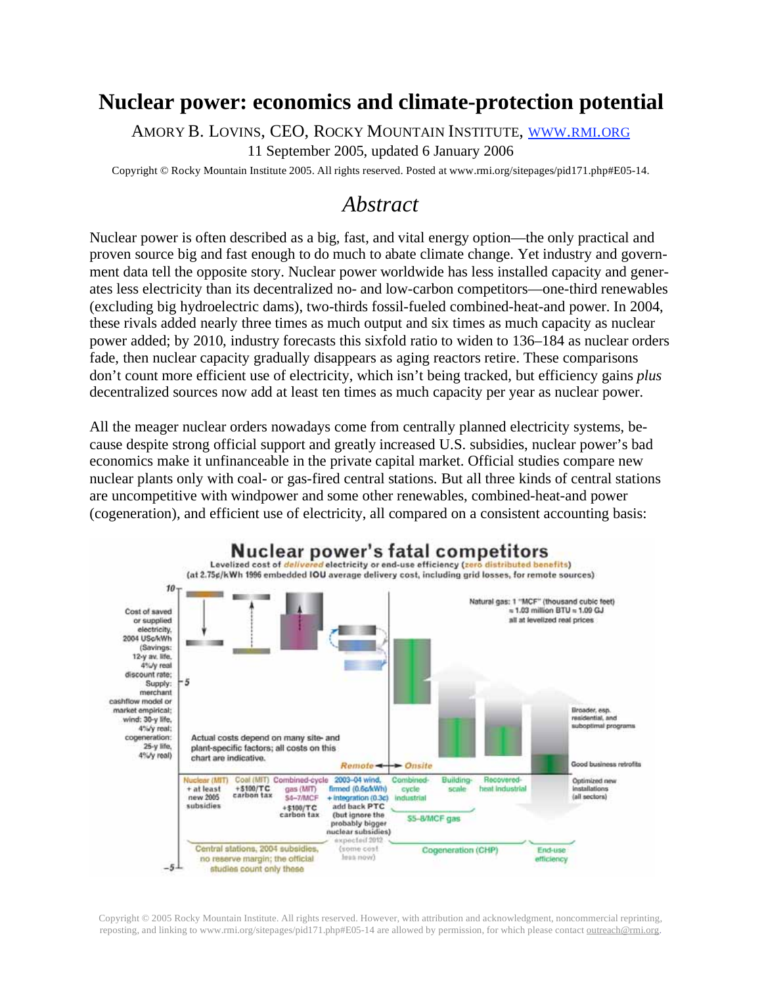## **Nuclear power: economics and climate-protection potential**

AMORY B. LOVINS, CEO, ROCKY MOUNTAIN INSTITUTE, WWW.RMI.ORG

11 September 2005, updated 6 January 2006

Copyright © Rocky Mountain Institute 2005. All rights reserved. Posted at www.rmi.org/sitepages/pid171.php#E05-14.

# *Abstract*

Nuclear power is often described as a big, fast, and vital energy option—the only practical and proven source big and fast enough to do much to abate climate change. Yet industry and government data tell the opposite story. Nuclear power worldwide has less installed capacity and generates less electricity than its decentralized no- and low-carbon competitors—one-third renewables (excluding big hydroelectric dams), two-thirds fossil-fueled combined-heat-and power. In 2004, these rivals added nearly three times as much output and six times as much capacity as nuclear power added; by 2010, industry forecasts this sixfold ratio to widen to 136–184 as nuclear orders fade, then nuclear capacity gradually disappears as aging reactors retire. These comparisons don't count more efficient use of electricity, which isn't being tracked, but efficiency gains *plus*  decentralized sources now add at least ten times as much capacity per year as nuclear power.

All the meager nuclear orders nowadays come from centrally planned electricity systems, because despite strong official support and greatly increased U.S. subsidies, nuclear power's bad economics make it unfinanceable in the private capital market. Official studies compare new nuclear plants only with coal- or gas-fired central stations. But all three kinds of central stations are uncompetitive with windpower and some other renewables, combined-heat-and power (cogeneration), and efficient use of electricity, all compared on a consistent accounting basis:



Copyright © 2005 Rocky Mountain Institute. All rights reserved. However, with attribution and acknowledgment, noncommercial reprinting, reposting, and linking to www.rmi.org/sitepages/pid171.php#E05-14 are allowed by permission, for which please contact outreach@rmi.org.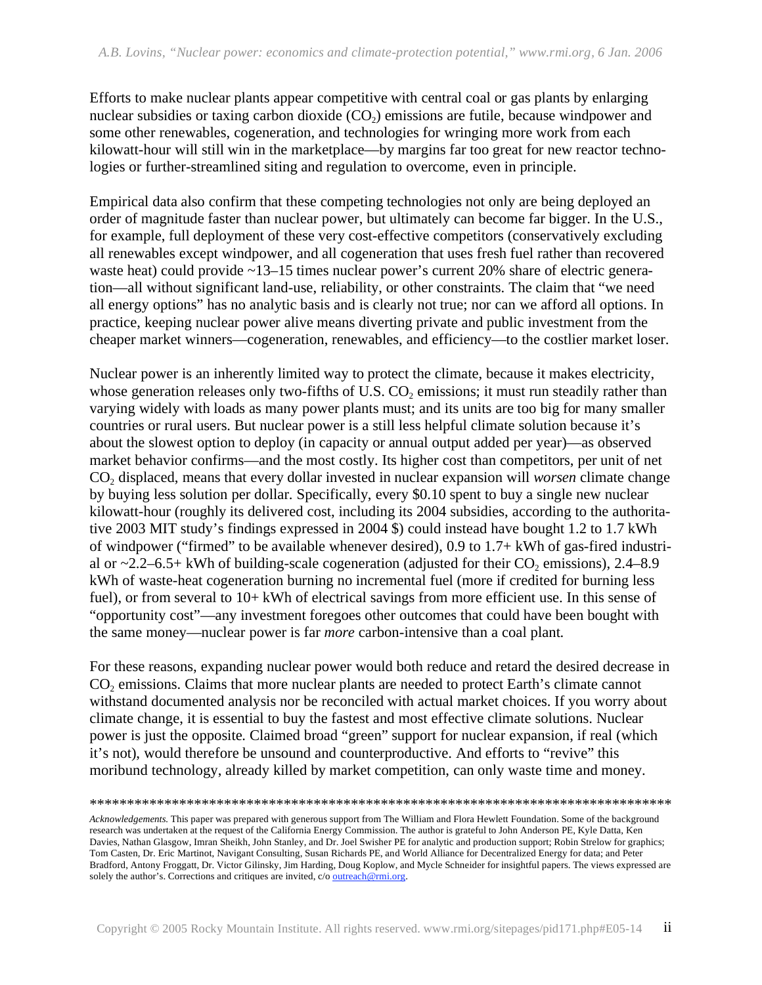Efforts to make nuclear plants appear competitive with central coal or gas plants by enlarging nuclear subsidies or taxing carbon dioxide  $(CO<sub>2</sub>)$  emissions are futile, because windpower and some other renewables, cogeneration, and technologies for wringing more work from each kilowatt-hour will still win in the marketplace—by margins far too great for new reactor technologies or further-streamlined siting and regulation to overcome, even in principle.

Empirical data also confirm that these competing technologies not only are being deployed an order of magnitude faster than nuclear power, but ultimately can become far bigger. In the U.S., for example, full deployment of these very cost-effective competitors (conservatively excluding all renewables except windpower, and all cogeneration that uses fresh fuel rather than recovered waste heat) could provide ~13–15 times nuclear power's current 20% share of electric generation—all without significant land-use, reliability, or other constraints. The claim that "we need all energy options" has no analytic basis and is clearly not true; nor can we afford all options. In practice, keeping nuclear power alive means diverting private and public investment from the cheaper market winners—cogeneration, renewables, and efficiency—to the costlier market loser.

Nuclear power is an inherently limited way to protect the climate, because it makes electricity, whose generation releases only two-fifths of U.S.  $CO<sub>2</sub>$  emissions; it must run steadily rather than varying widely with loads as many power plants must; and its units are too big for many smaller countries or rural users. But nuclear power is a still less helpful climate solution because it's about the slowest option to deploy (in capacity or annual output added per year)—as observed market behavior confirms—and the most costly. Its higher cost than competitors, per unit of net CO2 displaced, means that every dollar invested in nuclear expansion will *worsen* climate change by buying less solution per dollar. Specifically, every \$0.10 spent to buy a single new nuclear kilowatt-hour (roughly its delivered cost, including its 2004 subsidies, according to the authoritative 2003 MIT study's findings expressed in 2004 \$) could instead have bought 1.2 to 1.7 kWh of windpower ("firmed" to be available whenever desired), 0.9 to 1.7+ kWh of gas-fired industrial or  $\sim$ 2.2–6.5+ kWh of building-scale cogeneration (adjusted for their CO<sub>2</sub> emissions), 2.4–8.9 kWh of waste-heat cogeneration burning no incremental fuel (more if credited for burning less fuel), or from several to 10+ kWh of electrical savings from more efficient use. In this sense of "opportunity cost"—any investment foregoes other outcomes that could have been bought with the same money—nuclear power is far *more* carbon-intensive than a coal plant.

For these reasons, expanding nuclear power would both reduce and retard the desired decrease in CO<sub>2</sub> emissions. Claims that more nuclear plants are needed to protect Earth's climate cannot withstand documented analysis nor be reconciled with actual market choices. If you worry about climate change, it is essential to buy the fastest and most effective climate solutions. Nuclear power is just the opposite. Claimed broad "green" support for nuclear expansion, if real (which it's not), would therefore be unsound and counterproductive. And efforts to "revive" this moribund technology, already killed by market competition, can only waste time and money.

```
******************************************************************************
```
*Acknowledgements.* This paper was prepared with generous support from The William and Flora Hewlett Foundation. Some of the background research was undertaken at the request of the California Energy Commission. The author is grateful to John Anderson PE, Kyle Datta, Ken Davies, Nathan Glasgow, Imran Sheikh, John Stanley, and Dr. Joel Swisher PE for analytic and production support; Robin Strelow for graphics; Tom Casten, Dr. Eric Martinot, Navigant Consulting, Susan Richards PE, and World Alliance for Decentralized Energy for data; and Peter Bradford, Antony Froggatt, Dr. Victor Gilinsky, Jim Harding, Doug Koplow, and Mycle Schneider for insightful papers. The views expressed are solely the author's. Corrections and critiques are invited, c/o outreach@rmi.org.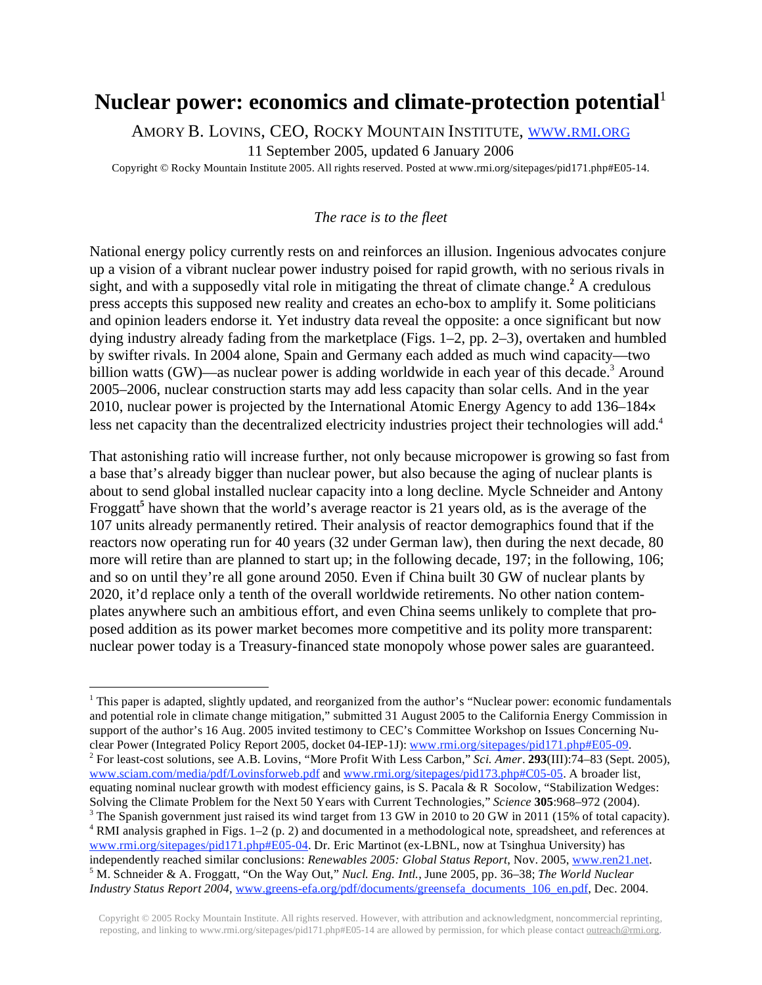## Nuclear power: economics and climate-protection potential<sup>1</sup>

AMORY B. LOVINS, CEO, ROCKY MOUNTAIN INSTITUTE, WWW.RMI.ORG

11 September 2005, updated 6 January 2006

Copyright © Rocky Mountain Institute 2005. All rights reserved. Posted at www.rmi.org/sitepages/pid171.php#E05-14.

#### *The race is to the fleet*

National energy policy currently rests on and reinforces an illusion. Ingenious advocates conjure up a vision of a vibrant nuclear power industry poised for rapid growth, with no serious rivals in sight, and with a supposedly vital role in mitigating the threat of climate change.**<sup>2</sup>** A credulous press accepts this supposed new reality and creates an echo-box to amplify it. Some politicians and opinion leaders endorse it. Yet industry data reveal the opposite: a once significant but now dying industry already fading from the marketplace (Figs. 1–2, pp. 2–3), overtaken and humbled by swifter rivals. In 2004 alone, Spain and Germany each added as much wind capacity—two billion watts (GW)—as nuclear power is adding worldwide in each year of this decade.<sup>3</sup> Around 2005–2006, nuclear construction starts may add less capacity than solar cells. And in the year 2010, nuclear power is projected by the International Atomic Energy Agency to add 136–184 less net capacity than the decentralized electricity industries project their technologies will add.<sup>4</sup>

That astonishing ratio will increase further, not only because micropower is growing so fast from a base that's already bigger than nuclear power, but also because the aging of nuclear plants is about to send global installed nuclear capacity into a long decline. Mycle Schneider and Antony Froggatt<sup>5</sup> have shown that the world's average reactor is 21 years old, as is the average of the 107 units already permanently retired. Their analysis of reactor demographics found that if the reactors now operating run for 40 years (32 under German law), then during the next decade, 80 more will retire than are planned to start up; in the following decade, 197; in the following, 106; and so on until they're all gone around 2050. Even if China built 30 GW of nuclear plants by 2020, it'd replace only a tenth of the overall worldwide retirements. No other nation contemplates anywhere such an ambitious effort, and even China seems unlikely to complete that proposed addition as its power market becomes more competitive and its polity more transparent: nuclear power today is a Treasury-financed state monopoly whose power sales are guaranteed.

<u>.</u>

<sup>&</sup>lt;sup>1</sup> This paper is adapted, slightly updated, and reorganized from the author's "Nuclear power: economic fundamentals and potential role in climate change mitigation," submitted 31 August 2005 to the California Energy Commission in support of the author's 16 Aug. 2005 invited testimony to CEC's Committee Workshop on Issues Concerning Nuclear Power (Integrated Policy Report 2005, docket 04-IEP-1J): www.rmi.org/sitepages/pid171.php#E05-09. For least-cost solutions, see A.B. Lovins, "More Profit With Less Carbon," *Sci. Amer*. **293**(III):74–83 (Sept. 2005), www.sciam.com/media/pdf/Lovinsforweb.pdf and www.rmi.org/sitepages/pid173.php#C05-05. A broader list, equating nominal nuclear growth with modest efficiency gains, is S. Pacala & R Socolow, "Stabilization Wedges: Solving the Climate Problem for the Next 50 Years with Current Technologies," *Science* **<sup>305</sup>**:968–972 (2004). 3 <sup>3</sup> The Spanish government just raised its wind target from 13 GW in 2010 to 20 GW in 2011 (15% of total capacity). <sup>4</sup> RMI analysis graphed in Figs. 1–2 (p. 2) and documented in a methodological note, spreadsheet, and references at www.rmi.org/sitepages/pid171.php#E05-04. Dr. Eric Martinot (ex-LBNL, now at Tsinghua University) has independently reached similar conclusions: *Renewables 2005: Global Status Report*, Nov. 2005, www.ren21.net. M. Schneider & A. Froggatt, "On the Way Out," *Nucl. Eng. Intl.*, June 2005, pp. 36–38; *The World Nuclear Industry Status Report 2004,* www.greens-efa.org/pdf/documents/greensefa\_documents\_106\_en.pdf, Dec. 2004.

Copyright © 2005 Rocky Mountain Institute. All rights reserved. However, with attribution and acknowledgment, noncommercial reprinting, reposting, and linking to www.rmi.org/sitepages/pid171.php#E05-14 are allowed by permission, for which please contact outreach@rmi.org.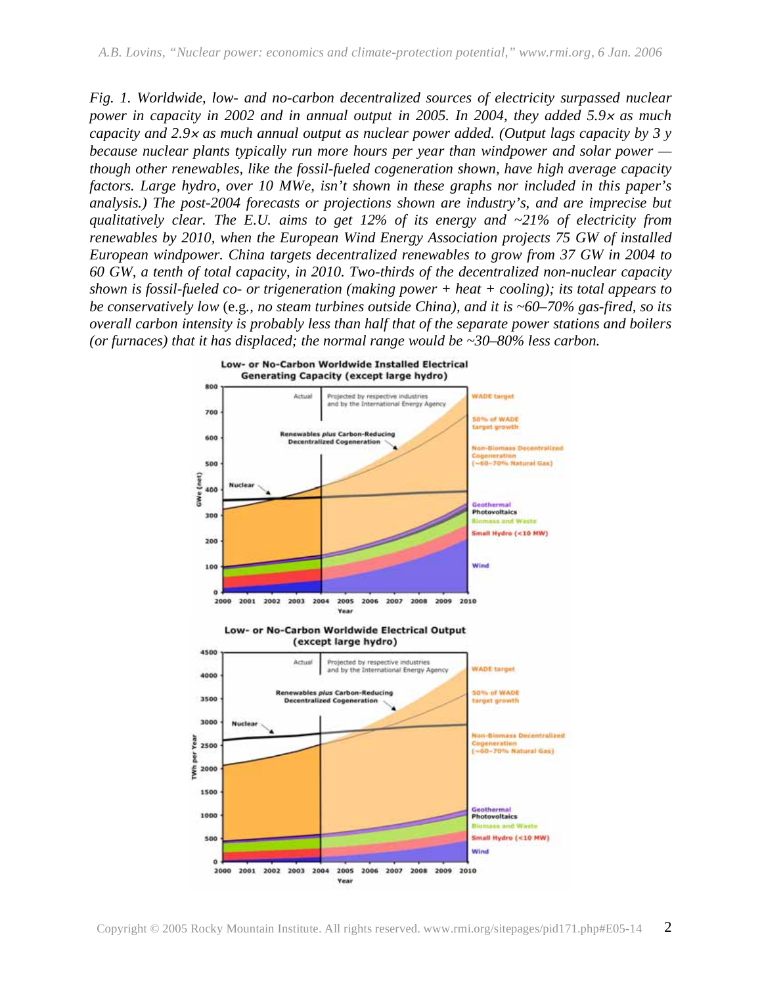*Fig. 1. Worldwide, low- and no-carbon decentralized sources of electricity surpassed nuclear power in capacity in 2002 and in annual output in 2005. In 2004, they added 5.9 as much capacity and 2.9 as much annual output as nuclear power added. (Output lags capacity by 3 y because nuclear plants typically run more hours per year than windpower and solar power though other renewables, like the fossil-fueled cogeneration shown, have high average capacity factors. Large hydro, over 10 MWe, isn't shown in these graphs nor included in this paper's analysis.) The post-2004 forecasts or projections shown are industry's, and are imprecise but qualitatively clear. The E.U. aims to get 12% of its energy and ~21% of electricity from renewables by 2010, when the European Wind Energy Association projects 75 GW of installed European windpower. China targets decentralized renewables to grow from 37 GW in 2004 to 60 GW, a tenth of total capacity, in 2010. Two-thirds of the decentralized non-nuclear capacity shown is fossil-fueled co- or trigeneration (making power + heat + cooling); its total appears to be conservatively low* (e.g*., no steam turbines outside China), and it is ~60–70% gas-fired, so its overall carbon intensity is probably less than half that of the separate power stations and boilers (or furnaces) that it has displaced; the normal range would be ~30–80% less carbon.* 

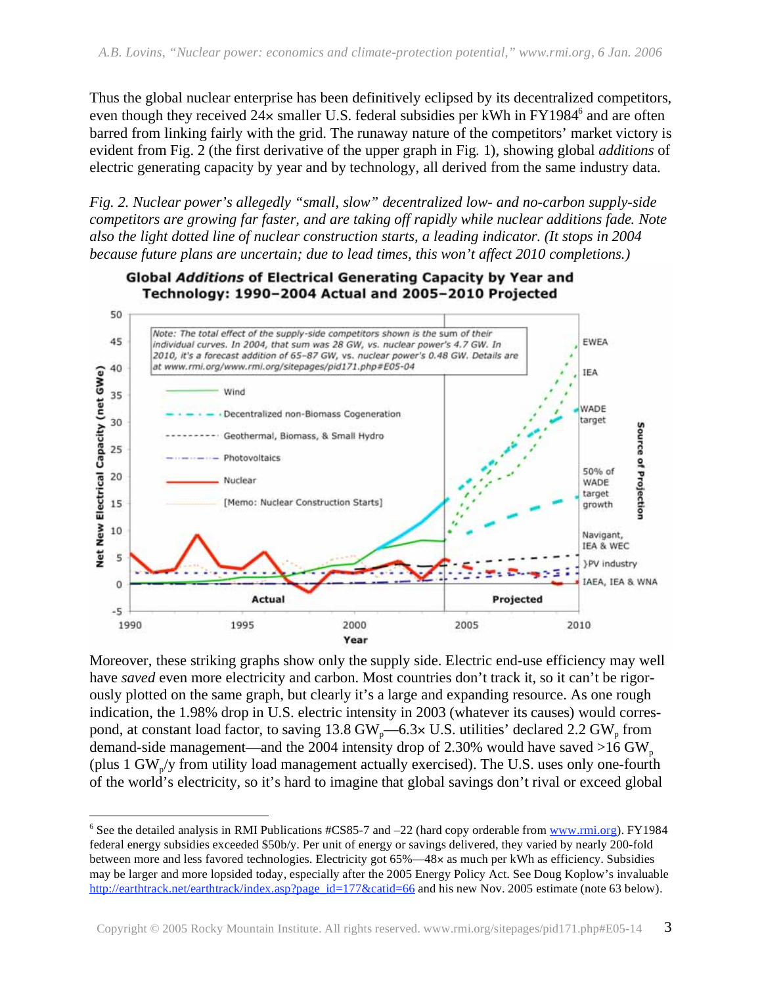Thus the global nuclear enterprise has been definitively eclipsed by its decentralized competitors, even though they received  $24 \times$  smaller U.S. federal subsidies per kWh in FY1984 $^6$  and are often barred from linking fairly with the grid. The runaway nature of the competitors' market victory is evident from Fig. 2 (the first derivative of the upper graph in Fig. 1), showing global *additions* of electric generating capacity by year and by technology, all derived from the same industry data.

*Fig. 2. Nuclear power's allegedly "small, slow" decentralized low- and no-carbon supply-side competitors are growing far faster, and are taking off rapidly while nuclear additions fade. Note also the light dotted line of nuclear construction starts, a leading indicator. (It stops in 2004 because future plans are uncertain; due to lead times, this won't affect 2010 completions.)* 



Moreover, these striking graphs show only the supply side. Electric end-use efficiency may well have *saved* even more electricity and carbon. Most countries don't track it, so it can't be rigorously plotted on the same graph, but clearly it's a large and expanding resource. As one rough indication, the 1.98% drop in U.S. electric intensity in 2003 (whatever its causes) would correspond, at constant load factor, to saving 13.8 GW<sub>p</sub>—6.3× U.S. utilities' declared 2.2 GW<sub>p</sub> from demand-side management—and the 2004 intensity drop of 2.30% would have saved  $>16$  GW<sub>p</sub> (plus 1 GW<sub>p</sub>/y from utility load management actually exercised). The U.S. uses only one-fourth of the world's electricity, so it's hard to imagine that global savings don't rival or exceed global

 $\overline{a}$ <sup>6</sup> See the detailed analysis in RMI Publications  $\#CS85$ -7 and  $-22$  (hard copy orderable from www.rmi.org). FY1984 federal energy subsidies exceeded \$50b/y. Per unit of energy or savings delivered, they varied by nearly 200-fold between more and less favored technologies. Electricity got 65%—48× as much per kWh as efficiency. Subsidies may be larger and more lopsided today, especially after the 2005 Energy Policy Act. See Doug Koplow's invaluable http://earthtrack.net/earthtrack/index.asp?page\_id=177&catid=66 and his new Nov. 2005 estimate (note 63 below).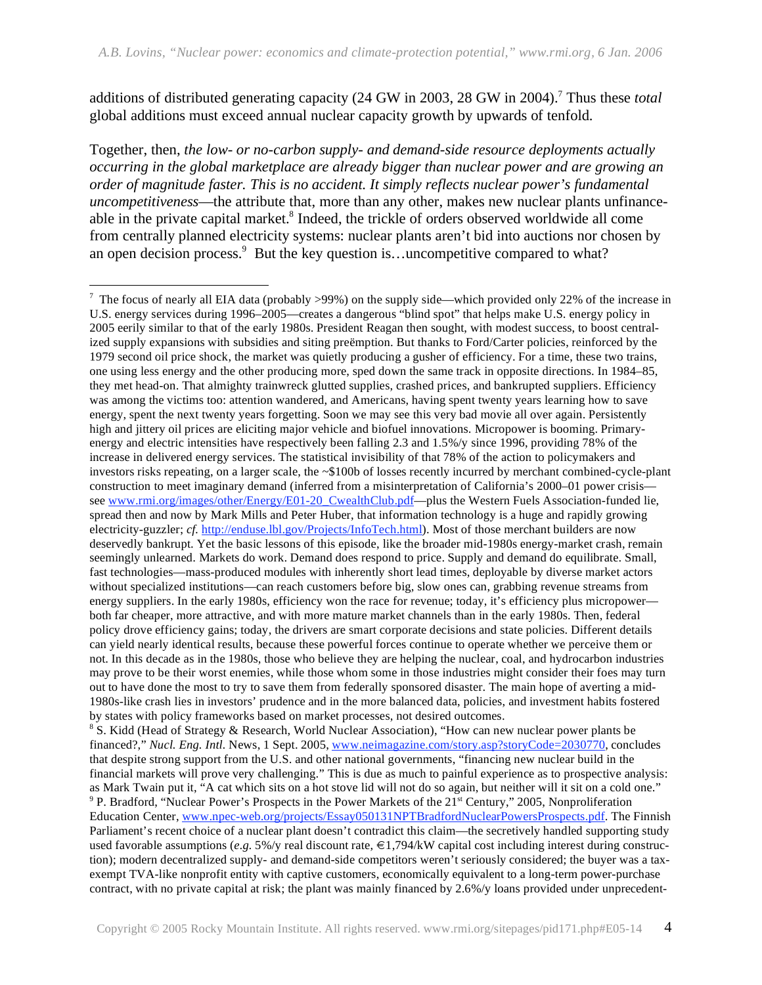additions of distributed generating capacity (24 GW in 2003, 28 GW in 2004).<sup>7</sup> Thus these *total* global additions must exceed annual nuclear capacity growth by upwards of tenfold.

Together, then, *the low- or no-carbon supply- and demand-side resource deployments actually occurring in the global marketplace are already bigger than nuclear power and are growing an order of magnitude faster. This is no accident. It simply reflects nuclear power's fundamental uncompetitiveness*—the attribute that, more than any other, makes new nuclear plants unfinanceable in the private capital market.<sup>8</sup> Indeed, the trickle of orders observed worldwide all come from centrally planned electricity systems: nuclear plants aren't bid into auctions nor chosen by an open decision process.<sup>9</sup> But the key question is...uncompetitive compared to what?

<sup>8</sup> S. Kidd (Head of Strategy & Research, World Nuclear Association), "How can new nuclear power plants be financed?," *Nucl. Eng. Intl.* News, 1 Sept. 2005, www.neimagazine.com/story.asp?storyCode=2030770, concludes that despite strong support from the U.S. and other national governments, "financing new nuclear build in the financial markets will prove very challenging." This is due as much to painful experience as to prospective analysis: as Mark Twain put it, "A cat which sits on a hot stove lid will not do so again, but neither will it sit on a cold one." <sup>9</sup> P. Bradford, "Nuclear Power's Prospects in the Power Markets of the 21<sup>st</sup> Century," 2005, Nonproliferation Education Center, www.npec-web.org/projects/Essay050131NPTBradfordNuclearPowersProspects.pdf. The Finnish Parliament's recent choice of a nuclear plant doesn't contradict this claim—the secretively handled supporting study used favorable assumptions (*e.g.* 5%/y real discount rate,  $\epsilon$ 1,794/kW capital cost including interest during construction); modern decentralized supply- and demand-side competitors weren't seriously considered; the buyer was a taxexempt TVA-like nonprofit entity with captive customers, economically equivalent to a long-term power-purchase contract, with no private capital at risk; the plant was mainly financed by 2.6%/y loans provided under unprecedent-

<sup>-</sup><sup>7</sup> The focus of nearly all EIA data (probably >99%) on the supply side—which provided only 22% of the increase in U.S. energy services during 1996–2005—creates a dangerous "blind spot" that helps make U.S. energy policy in 2005 eerily similar to that of the early 1980s. President Reagan then sought, with modest success, to boost centralized supply expansions with subsidies and siting preëmption. But thanks to Ford/Carter policies, reinforced by the 1979 second oil price shock, the market was quietly producing a gusher of efficiency. For a time, these two trains, one using less energy and the other producing more, sped down the same track in opposite directions. In 1984–85, they met head-on. That almighty trainwreck glutted supplies, crashed prices, and bankrupted suppliers. Efficiency was among the victims too: attention wandered, and Americans, having spent twenty years learning how to save energy, spent the next twenty years forgetting. Soon we may see this very bad movie all over again. Persistently high and jittery oil prices are eliciting major vehicle and biofuel innovations. Micropower is booming. Primaryenergy and electric intensities have respectively been falling 2.3 and 1.5%/y since 1996, providing 78% of the increase in delivered energy services. The statistical invisibility of that 78% of the action to policymakers and investors risks repeating, on a larger scale, the ~\$100b of losses recently incurred by merchant combined-cycle-plant construction to meet imaginary demand (inferred from a misinterpretation of California's 2000–01 power crisis see www.rmi.org/images/other/Energy/E01-20\_CwealthClub.pdf—plus the Western Fuels Association-funded lie, spread then and now by Mark Mills and Peter Huber, that information technology is a huge and rapidly growing electricity-guzzler; *cf.* http://enduse.lbl.gov/Projects/InfoTech.html). Most of those merchant builders are now deservedly bankrupt. Yet the basic lessons of this episode, like the broader mid-1980s energy-market crash, remain seemingly unlearned. Markets do work. Demand does respond to price. Supply and demand do equilibrate. Small, fast technologies—mass-produced modules with inherently short lead times, deployable by diverse market actors without specialized institutions—can reach customers before big, slow ones can, grabbing revenue streams from energy suppliers. In the early 1980s, efficiency won the race for revenue; today, it's efficiency plus micropower both far cheaper, more attractive, and with more mature market channels than in the early 1980s. Then, federal policy drove efficiency gains; today, the drivers are smart corporate decisions and state policies. Different details can yield nearly identical results, because these powerful forces continue to operate whether we perceive them or not. In this decade as in the 1980s, those who believe they are helping the nuclear, coal, and hydrocarbon industries may prove to be their worst enemies, while those whom some in those industries might consider their foes may turn out to have done the most to try to save them from federally sponsored disaster. The main hope of averting a mid-1980s-like crash lies in investors' prudence and in the more balanced data, policies, and investment habits fostered by states with policy frameworks based on market processes, not desired outcomes.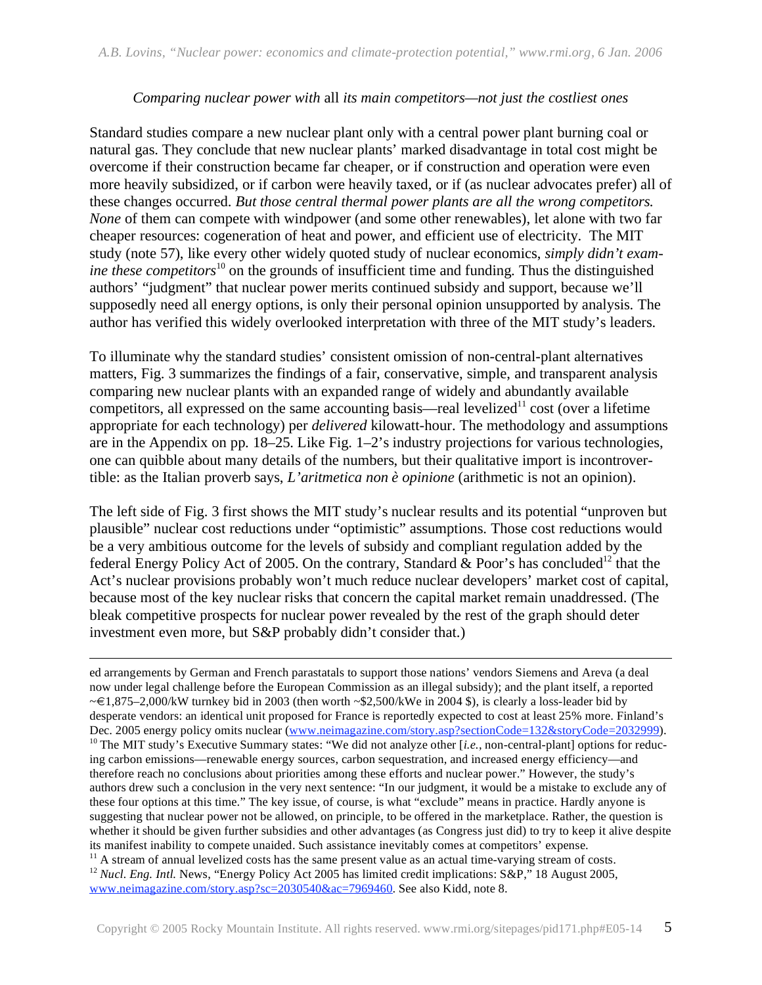#### *Comparing nuclear power with* all *its main competitors—not just the costliest ones*

Standard studies compare a new nuclear plant only with a central power plant burning coal or natural gas. They conclude that new nuclear plants' marked disadvantage in total cost might be overcome if their construction became far cheaper, or if construction and operation were even more heavily subsidized, or if carbon were heavily taxed, or if (as nuclear advocates prefer) all of these changes occurred. *But those central thermal power plants are all the wrong competitors. None* of them can compete with windpower (and some other renewables), let alone with two far cheaper resources: cogeneration of heat and power, and efficient use of electricity. The MIT study (note 57), like every other widely quoted study of nuclear economics, *simply didn't examine these competitors*<sup>10</sup> on the grounds of insufficient time and funding. Thus the distinguished authors' "judgment" that nuclear power merits continued subsidy and support, because we'll supposedly need all energy options, is only their personal opinion unsupported by analysis. The author has verified this widely overlooked interpretation with three of the MIT study's leaders.

To illuminate why the standard studies' consistent omission of non-central-plant alternatives matters, Fig. 3 summarizes the findings of a fair, conservative, simple, and transparent analysis comparing new nuclear plants with an expanded range of widely and abundantly available competitors, all expressed on the same accounting basis—real levelized<sup>11</sup> cost (over a lifetime appropriate for each technology) per *delivered* kilowatt-hour. The methodology and assumptions are in the Appendix on pp. 18–25. Like Fig. 1–2's industry projections for various technologies, one can quibble about many details of the numbers, but their qualitative import is incontrovertible: as the Italian proverb says, *L'aritmetica non è opinione* (arithmetic is not an opinion).

The left side of Fig. 3 first shows the MIT study's nuclear results and its potential "unproven but plausible" nuclear cost reductions under "optimistic" assumptions. Those cost reductions would be a very ambitious outcome for the levels of subsidy and compliant regulation added by the federal Energy Policy Act of 2005. On the contrary, Standard & Poor's has concluded<sup>12</sup> that the Act's nuclear provisions probably won't much reduce nuclear developers' market cost of capital, because most of the key nuclear risks that concern the capital market remain unaddressed. (The bleak competitive prospects for nuclear power revealed by the rest of the graph should deter investment even more, but S&P probably didn't consider that.)

<u>.</u>

ed arrangements by German and French parastatals to support those nations' vendors Siemens and Areva (a deal now under legal challenge before the European Commission as an illegal subsidy); and the plant itself, a reported  $\leq$  1,875–2,000/kW turnkey bid in 2003 (then worth ~\$2,500/kWe in 2004 \$), is clearly a loss-leader bid by desperate vendors: an identical unit proposed for France is reportedly expected to cost at least 25% more. Finland's Dec. 2005 energy policy omits nuclear (www.neimagazine.com/story.asp?sectionCode=132&storyCode=2032999). <sup>10</sup> The MIT study's Executive Summary states: "We did not analyze other [i.e., non-central-plant] options for reducing carbon emissions—renewable energy sources, carbon sequestration, and increased energy efficiency—and therefore reach no conclusions about priorities among these efforts and nuclear power." However, the study's authors drew such a conclusion in the very next sentence: "In our judgment, it would be a mistake to exclude any of these four options at this time." The key issue, of course, is what "exclude" means in practice. Hardly anyone is suggesting that nuclear power not be allowed, on principle, to be offered in the marketplace. Rather, the question is whether it should be given further subsidies and other advantages (as Congress just did) to try to keep it alive despite its manifest inability to compete unaided. Such assistance inevitably comes at competitors' expense.  $11$  A stream of annual levelized costs has the same present value as an actual time-varying stream of costs.

<sup>12</sup> *Nucl. Eng. Intl.* News, "Energy Policy Act 2005 has limited credit implications: S&P," 18 August 2005, www.neimagazine.com/story.asp?sc=2030540&ac=7969460. See also Kidd, note 8.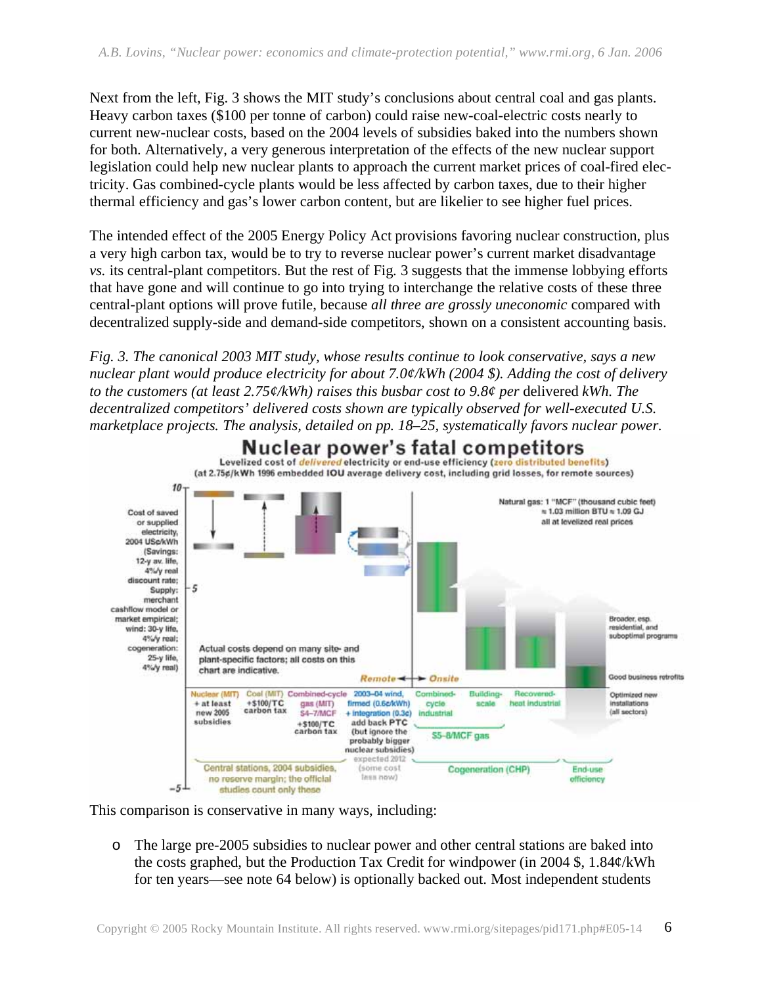Next from the left, Fig. 3 shows the MIT study's conclusions about central coal and gas plants. Heavy carbon taxes (\$100 per tonne of carbon) could raise new-coal-electric costs nearly to current new-nuclear costs, based on the 2004 levels of subsidies baked into the numbers shown for both. Alternatively, a very generous interpretation of the effects of the new nuclear support legislation could help new nuclear plants to approach the current market prices of coal-fired electricity. Gas combined-cycle plants would be less affected by carbon taxes, due to their higher thermal efficiency and gas's lower carbon content, but are likelier to see higher fuel prices.

The intended effect of the 2005 Energy Policy Act provisions favoring nuclear construction, plus a very high carbon tax, would be to try to reverse nuclear power's current market disadvantage *vs.* its central-plant competitors. But the rest of Fig. 3 suggests that the immense lobbying efforts that have gone and will continue to go into trying to interchange the relative costs of these three central-plant options will prove futile, because *all three are grossly uneconomic* compared with decentralized supply-side and demand-side competitors, shown on a consistent accounting basis.

*Fig. 3. The canonical 2003 MIT study, whose results continue to look conservative, says a new nuclear plant would produce electricity for about 7.0¢/kWh (2004 \$). Adding the cost of delivery to the customers (at least 2.75¢/kWh) raises this busbar cost to 9.8¢ per* delivered *kWh. The decentralized competitors' delivered costs shown are typically observed for well-executed U.S. marketplace projects. The analysis, detailed on pp. 18–25, systematically favors nuclear power.* 



This comparison is conservative in many ways, including:

o The large pre-2005 subsidies to nuclear power and other central stations are baked into the costs graphed, but the Production Tax Credit for windpower (in 2004 \$, 1.84¢/kWh for ten years—see note 64 below) is optionally backed out. Most independent students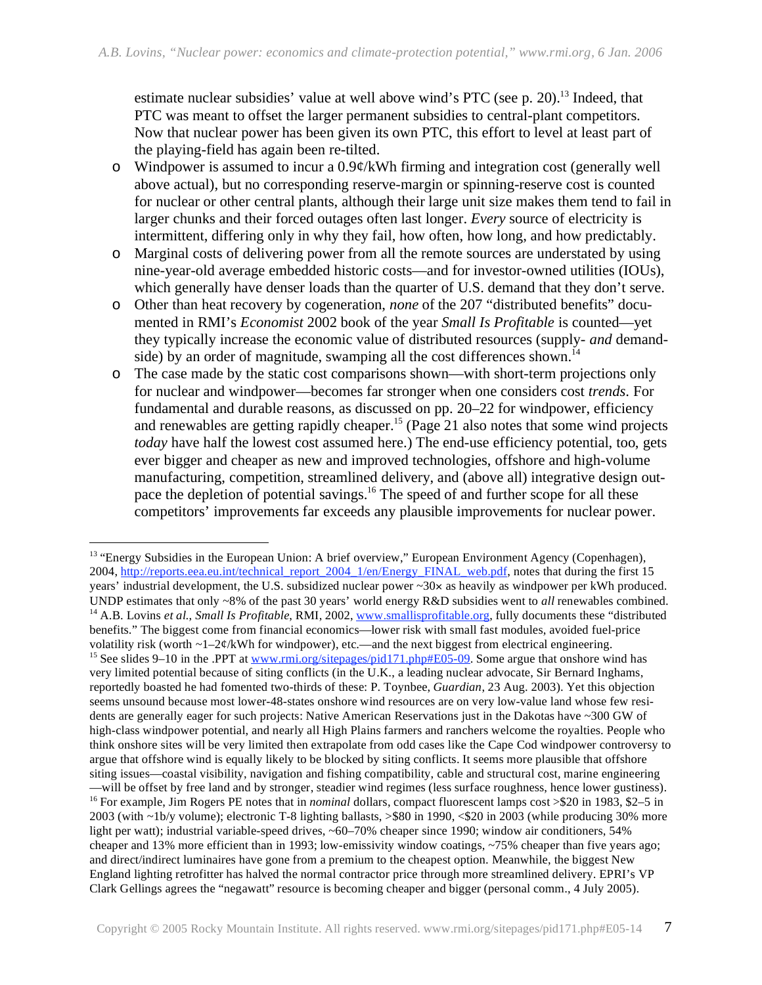estimate nuclear subsidies' value at well above wind's PTC (see p. 20).<sup>13</sup> Indeed, that PTC was meant to offset the larger permanent subsidies to central-plant competitors. Now that nuclear power has been given its own PTC, this effort to level at least part of the playing-field has again been re-tilted.

- o Windpower is assumed to incur a 0.9¢/kWh firming and integration cost (generally well above actual), but no corresponding reserve-margin or spinning-reserve cost is counted for nuclear or other central plants, although their large unit size makes them tend to fail in larger chunks and their forced outages often last longer. *Every* source of electricity is intermittent, differing only in why they fail, how often, how long, and how predictably.
- o Marginal costs of delivering power from all the remote sources are understated by using nine-year-old average embedded historic costs—and for investor-owned utilities (IOUs), which generally have denser loads than the quarter of U.S. demand that they don't serve.
- o Other than heat recovery by cogeneration, *none* of the 207 "distributed benefits" documented in RMI's *Economist* 2002 book of the year *Small Is Profitable* is counted—yet they typically increase the economic value of distributed resources (supply- *and* demandside) by an order of magnitude, swamping all the cost differences shown.<sup>14</sup>
- o The case made by the static cost comparisons shown—with short-term projections only for nuclear and windpower—becomes far stronger when one considers cost *trends*. For fundamental and durable reasons, as discussed on pp. 20–22 for windpower, efficiency and renewables are getting rapidly cheaper.<sup>15</sup> (Page 21 also notes that some wind projects *today* have half the lowest cost assumed here.) The end-use efficiency potential, too, gets ever bigger and cheaper as new and improved technologies, offshore and high-volume manufacturing, competition, streamlined delivery, and (above all) integrative design outpace the depletion of potential savings.<sup>16</sup> The speed of and further scope for all these competitors' improvements far exceeds any plausible improvements for nuclear power.

 $\overline{a}$ <sup>13</sup> "Energy Subsidies in the European Union: A brief overview," European Environment Agency (Copenhagen), 2004, http://reports.eea.eu.int/technical\_report\_2004\_1/en/Energy\_FINAL\_web.pdf, notes that during the first 15 years' industrial development, the U.S. subsidized nuclear power ~30x as heavily as windpower per kWh produced. UNDP estimates that only ~8% of the past 30 years' world energy  $R&D$  subsidies went to *all* renewables combined.<br><sup>14</sup> A.B. Lovins *et al., Small Is Profitable*, RMI, 2002, www.smallisprofitable.org, fully documents the benefits." The biggest come from financial economics—lower risk with small fast modules, avoided fuel-price volatility risk (worth  $\sim$ 1–2¢/kWh for windpower), etc.—and the next biggest from electrical engineering. <sup>15</sup> See slides 9–10 in the .PPT at www.rmi.org/sitepages/pid171.php#E05-09. Some argue that onshore wind has very limited potential because of siting conflicts (in the U.K., a leading nuclear advocate, Sir Bernard Inghams, reportedly boasted he had fomented two-thirds of these: P. Toynbee, *Guardian*, 23 Aug. 2003). Yet this objection seems unsound because most lower-48-states onshore wind resources are on very low-value land whose few residents are generally eager for such projects: Native American Reservations just in the Dakotas have ~300 GW of high-class windpower potential, and nearly all High Plains farmers and ranchers welcome the royalties. People who think onshore sites will be very limited then extrapolate from odd cases like the Cape Cod windpower controversy to argue that offshore wind is equally likely to be blocked by siting conflicts. It seems more plausible that offshore siting issues—coastal visibility, navigation and fishing compatibility, cable and structural cost, marine engineering —will be offset by free land and by stronger, steadier wind regimes (less surface roughness, hence lower gustiness). 16 For example, Jim Rogers PE notes that in *nominal* dollars, compact fluorescent lamps cost >\$20 in 1983, \$2–5 in 2003 (with ~1b/y volume); electronic T-8 lighting ballasts, >\$80 in 1990, <\$20 in 2003 (while producing 30% more light per watt); industrial variable-speed drives, ~60–70% cheaper since 1990; window air conditioners, 54% cheaper and 13% more efficient than in 1993; low-emissivity window coatings, ~75% cheaper than five years ago; and direct/indirect luminaires have gone from a premium to the cheapest option. Meanwhile, the biggest New England lighting retrofitter has halved the normal contractor price through more streamlined delivery. EPRI's VP Clark Gellings agrees the "negawatt" resource is becoming cheaper and bigger (personal comm., 4 July 2005).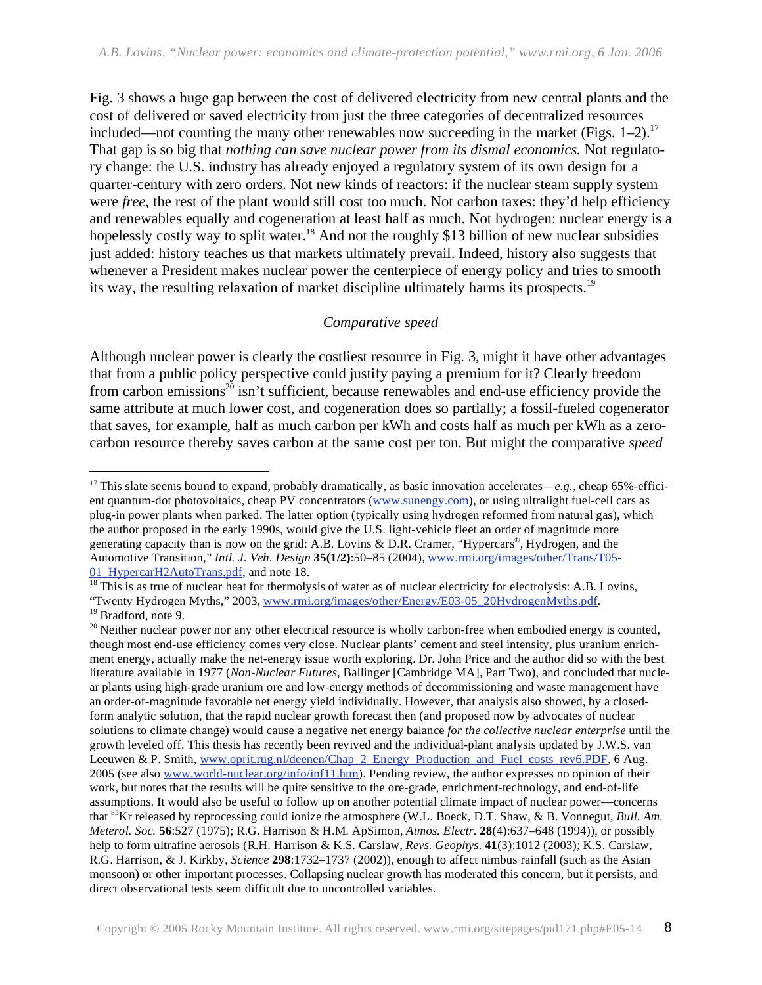Fig. 3 shows a huge gap between the cost of delivered electricity from new central plants and the cost of delivered or saved electricity from just the three categories of decentralized resources included—not counting the many other renewables now succeeding in the market (Figs.  $1-2$ ).<sup>17</sup> That gap is so big that *nothing can save nuclear power from its dismal economics.* Not regulatory change: the U.S. industry has already enjoyed a regulatory system of its own design for a quarter-century with zero orders. Not new kinds of reactors: if the nuclear steam supply system were *free*, the rest of the plant would still cost too much. Not carbon taxes: they'd help efficiency and renewables equally and cogeneration at least half as much. Not hydrogen: nuclear energy is a hopelessly costly way to split water.<sup>18</sup> And not the roughly \$13 billion of new nuclear subsidies just added: history teaches us that markets ultimately prevail. Indeed, history also suggests that whenever a President makes nuclear power the centerpiece of energy policy and tries to smooth its way, the resulting relaxation of market discipline ultimately harms its prospects.<sup>19</sup>

#### *Comparative speed*

Although nuclear power is clearly the costliest resource in Fig. 3, might it have other advantages that from a public policy perspective could justify paying a premium for it? Clearly freedom from carbon emissions<sup>20</sup> isn't sufficient, because renewables and end-use efficiency provide the same attribute at much lower cost, and cogeneration does so partially; a fossil-fueled cogenerator that saves, for example, half as much carbon per kWh and costs half as much per kWh as a zerocarbon resource thereby saves carbon at the same cost per ton. But might the comparative *speed* 

 $\overline{a}$ <sup>17</sup> This slate seems bound to expand, probably dramatically, as basic innovation accelerates— $e.g.,$  cheap 65%-efficient quantum-dot photovoltaics, cheap PV concentrators (www.sunengy.com), or using ultralight fuel-cell cars as plug-in power plants when parked. The latter option (typically using hydrogen reformed from natural gas), which the author proposed in the early 1990s, would give the U.S. light-vehicle fleet an order of magnitude more generating capacity than is now on the grid: A.B. Lovins & D.R. Cramer, "Hypercars®, Hydrogen, and the Automotive Transition," *Intl. J. Veh. Design* **35(1/2)**:50–85 (2004), www.rmi.org/images/other/Trans/T05- 01\_HypercarH2AutoTrans.pdf, and note 18. 18<br><sup>18</sup> This is as true of nuclear heat for thermolysis of water as of nuclear electricity for electrolysis: A.B. Lovins,

<sup>&</sup>quot;Twenty Hydrogen Myths," 2003, www.rmi.org/images/other/Energy/E03-05\_20HydrogenMyths.pdf. <sup>19</sup> Bradford, note 9.

 $20$  Neither nuclear power nor any other electrical resource is wholly carbon-free when embodied energy is counted, though most end-use efficiency comes very close. Nuclear plants' cement and steel intensity, plus uranium enrichment energy, actually make the net-energy issue worth exploring. Dr. John Price and the author did so with the best literature available in 1977 (*Non-Nuclear Futures*, Ballinger [Cambridge MA], Part Two), and concluded that nuclear plants using high-grade uranium ore and low-energy methods of decommissioning and waste management have an order-of-magnitude favorable net energy yield individually. However, that analysis also showed, by a closedform analytic solution, that the rapid nuclear growth forecast then (and proposed now by advocates of nuclear solutions to climate change) would cause a negative net energy balance *for the collective nuclear enterprise* until the growth leveled off. This thesis has recently been revived and the individual-plant analysis updated by J.W.S. van Leeuwen & P. Smith, www.oprit.rug.nl/deenen/Chap\_2\_Energy\_Production\_and\_Fuel\_costs\_rev6.PDF, 6 Aug. 2005 (see also www.world-nuclear.org/info/inf11.htm). Pending review, the author expresses no opinion of their work, but notes that the results will be quite sensitive to the ore-grade, enrichment-technology, and end-of-life assumptions. It would also be useful to follow up on another potential climate impact of nuclear power—concerns that 85Kr released by reprocessing could ionize the atmosphere (W.L. Boeck, D.T. Shaw, & B. Vonnegut, *Bull. Am. Meterol. Soc.* **56**:527 (1975); R.G. Harrison & H.M. ApSimon, *Atmos. Electr.* **28**(4):637–648 (1994)), or possibly help to form ultrafine aerosols (R.H. Harrison & K.S. Carslaw, *Revs. Geophys.* **41**(3):1012 (2003); K.S. Carslaw, R.G. Harrison, & J. Kirkby, *Science* **298**:1732–1737 (2002)), enough to affect nimbus rainfall (such as the Asian monsoon) or other important processes. Collapsing nuclear growth has moderated this concern, but it persists, and direct observational tests seem difficult due to uncontrolled variables.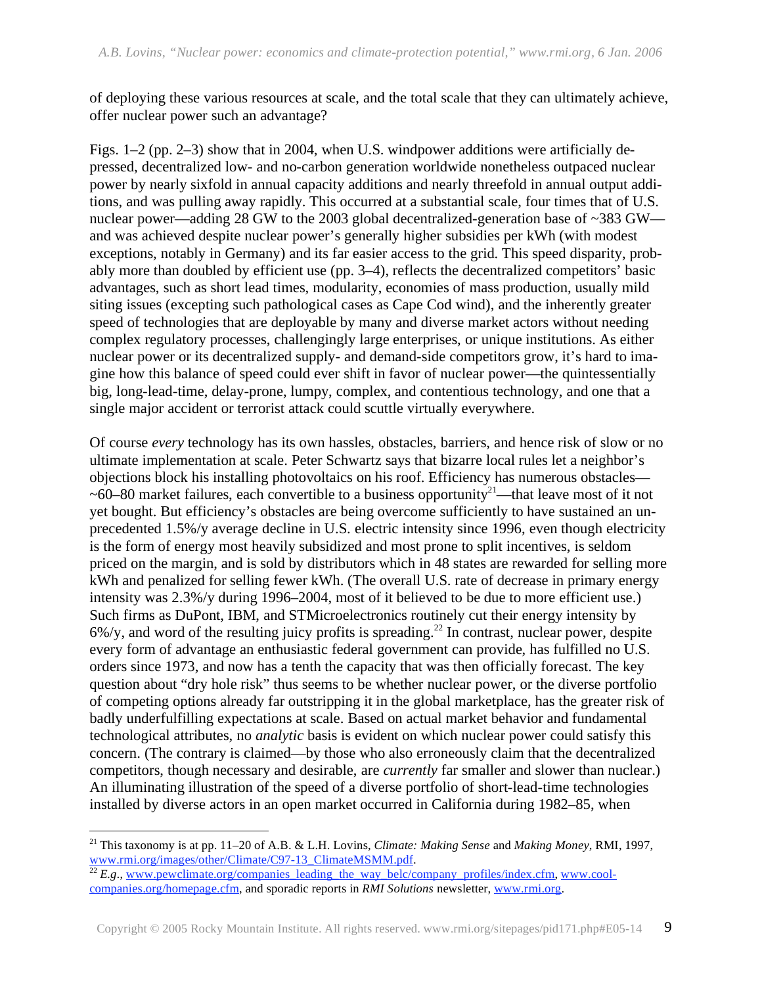of deploying these various resources at scale, and the total scale that they can ultimately achieve, offer nuclear power such an advantage?

Figs. 1–2 (pp. 2–3) show that in 2004, when U.S. windpower additions were artificially depressed, decentralized low- and no-carbon generation worldwide nonetheless outpaced nuclear power by nearly sixfold in annual capacity additions and nearly threefold in annual output additions, and was pulling away rapidly. This occurred at a substantial scale, four times that of U.S. nuclear power—adding 28 GW to the 2003 global decentralized-generation base of ~383 GW and was achieved despite nuclear power's generally higher subsidies per kWh (with modest exceptions, notably in Germany) and its far easier access to the grid. This speed disparity, probably more than doubled by efficient use (pp. 3–4), reflects the decentralized competitors' basic advantages, such as short lead times, modularity, economies of mass production, usually mild siting issues (excepting such pathological cases as Cape Cod wind), and the inherently greater speed of technologies that are deployable by many and diverse market actors without needing complex regulatory processes, challengingly large enterprises, or unique institutions. As either nuclear power or its decentralized supply- and demand-side competitors grow, it's hard to imagine how this balance of speed could ever shift in favor of nuclear power—the quintessentially big, long-lead-time, delay-prone, lumpy, complex, and contentious technology, and one that a single major accident or terrorist attack could scuttle virtually everywhere.

Of course *every* technology has its own hassles, obstacles, barriers, and hence risk of slow or no ultimate implementation at scale. Peter Schwartz says that bizarre local rules let a neighbor's objections block his installing photovoltaics on his roof. Efficiency has numerous obstacles—  $\sim$ 60–80 market failures, each convertible to a business opportunity<sup>21</sup>—that leave most of it not yet bought. But efficiency's obstacles are being overcome sufficiently to have sustained an unprecedented 1.5%/y average decline in U.S. electric intensity since 1996, even though electricity is the form of energy most heavily subsidized and most prone to split incentives, is seldom priced on the margin, and is sold by distributors which in 48 states are rewarded for selling more kWh and penalized for selling fewer kWh. (The overall U.S. rate of decrease in primary energy intensity was 2.3%/y during 1996–2004, most of it believed to be due to more efficient use.) Such firms as DuPont, IBM, and STMicroelectronics routinely cut their energy intensity by 6%/y, and word of the resulting juicy profits is spreading.22 In contrast, nuclear power, despite every form of advantage an enthusiastic federal government can provide, has fulfilled no U.S. orders since 1973, and now has a tenth the capacity that was then officially forecast. The key question about "dry hole risk" thus seems to be whether nuclear power, or the diverse portfolio of competing options already far outstripping it in the global marketplace, has the greater risk of badly underfulfilling expectations at scale. Based on actual market behavior and fundamental technological attributes, no *analytic* basis is evident on which nuclear power could satisfy this concern. (The contrary is claimed—by those who also erroneously claim that the decentralized competitors, though necessary and desirable, are *currently* far smaller and slower than nuclear.) An illuminating illustration of the speed of a diverse portfolio of short-lead-time technologies installed by diverse actors in an open market occurred in California during 1982–85, when

 $\overline{a}$ 

<sup>21</sup> This taxonomy is at pp. 11–20 of A.B. & L.H. Lovins, *Climate: Making Sense* and *Making Money*, RMI, 1997, www.rmi.org/images/other/Climate/C97-13\_ClimateMSMM.pdf<br><sup>22</sup> *E.g.*, www.pewclimate.org/companies\_leading\_the\_way\_belc/company\_profiles/index.cfm, www.cool-

companies.org/homepage.cfm, and sporadic reports in *RMI Solutions* newsletter, www.rmi.org.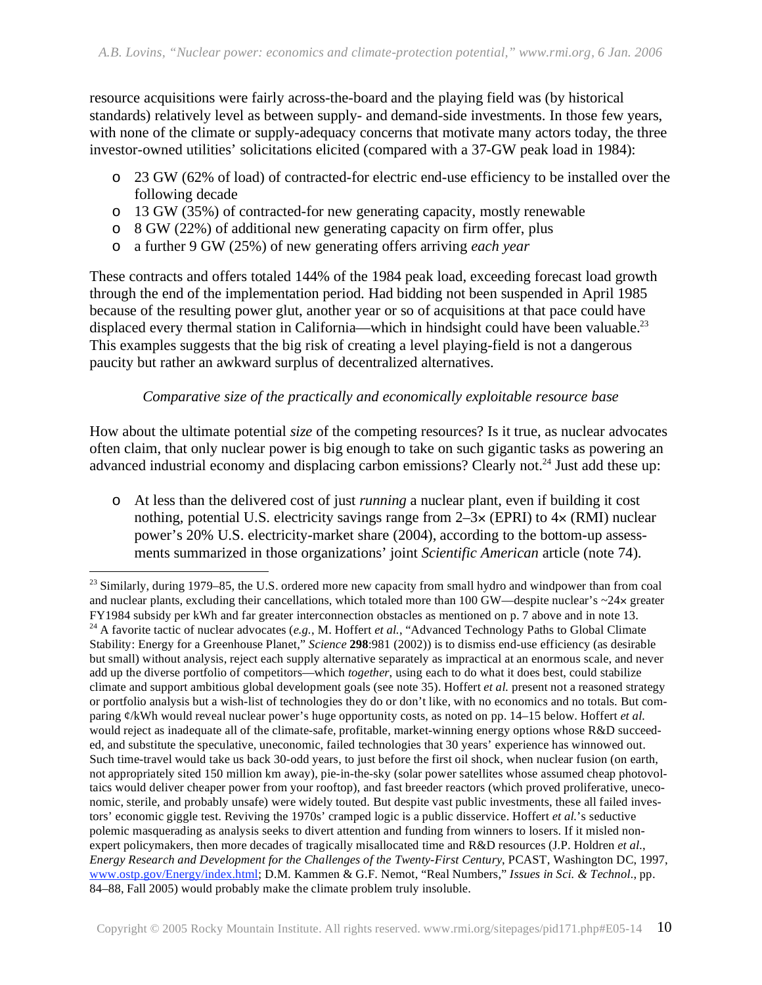resource acquisitions were fairly across-the-board and the playing field was (by historical standards) relatively level as between supply- and demand-side investments. In those few years, with none of the climate or supply-adequacy concerns that motivate many actors today, the three investor-owned utilities' solicitations elicited (compared with a 37-GW peak load in 1984):

- o 23 GW (62% of load) of contracted-for electric end-use efficiency to be installed over the following decade
- o 13 GW (35%) of contracted-for new generating capacity, mostly renewable
- o 8 GW (22%) of additional new generating capacity on firm offer, plus
- o a further 9 GW (25%) of new generating offers arriving *each year*

 $\overline{a}$ 

These contracts and offers totaled 144% of the 1984 peak load, exceeding forecast load growth through the end of the implementation period. Had bidding not been suspended in April 1985 because of the resulting power glut, another year or so of acquisitions at that pace could have displaced every thermal station in California—which in hindsight could have been valuable.<sup>23</sup> This examples suggests that the big risk of creating a level playing-field is not a dangerous paucity but rather an awkward surplus of decentralized alternatives.

### *Comparative size of the practically and economically exploitable resource base*

How about the ultimate potential *size* of the competing resources? Is it true, as nuclear advocates often claim, that only nuclear power is big enough to take on such gigantic tasks as powering an advanced industrial economy and displacing carbon emissions? Clearly not.<sup>24</sup> Just add these up:

o At less than the delivered cost of just *running* a nuclear plant, even if building it cost nothing, potential U.S. electricity savings range from  $2-3\times$  (EPRI) to  $4\times$  (RMI) nuclear power's 20% U.S. electricity-market share (2004), according to the bottom-up assessments summarized in those organizations' joint *Scientific American* article (note 74).

 $^{23}$  Similarly, during 1979–85, the U.S. ordered more new capacity from small hydro and windpower than from coal and nuclear plants, excluding their cancellations, which totaled more than 100 GW—despite nuclear's  $\sim$ 24 $\times$  greater FY1984 subsidy per kWh and far greater interconnection obstacles as mentioned on p. 7 above and in note 13. <sup>24</sup> A favorite tactic of nuclear advocates (e.g., M. Hoffert et al., "Advanced Technology Paths to Global Climate Stability: Energy for a Greenhouse Planet," *Science* **298**:981 (2002)) is to dismiss end-use efficiency (as desirable but small) without analysis, reject each supply alternative separately as impractical at an enormous scale, and never add up the diverse portfolio of competitors—which *together*, using each to do what it does best, could stabilize climate and support ambitious global development goals (see note 35). Hoffert *et al.* present not a reasoned strategy or portfolio analysis but a wish-list of technologies they do or don't like, with no economics and no totals. But comparing ¢/kWh would reveal nuclear power's huge opportunity costs, as noted on pp. 14–15 below. Hoffert *et al.* would reject as inadequate all of the climate-safe, profitable, market-winning energy options whose R&D succeeded, and substitute the speculative, uneconomic, failed technologies that 30 years' experience has winnowed out. Such time-travel would take us back 30-odd years, to just before the first oil shock, when nuclear fusion (on earth, not appropriately sited 150 million km away), pie-in-the-sky (solar power satellites whose assumed cheap photovoltaics would deliver cheaper power from your rooftop), and fast breeder reactors (which proved proliferative, uneconomic, sterile, and probably unsafe) were widely touted. But despite vast public investments, these all failed investors' economic giggle test. Reviving the 1970s' cramped logic is a public disservice. Hoffert *et al.*'s seductive polemic masquerading as analysis seeks to divert attention and funding from winners to losers. If it misled nonexpert policymakers, then more decades of tragically misallocated time and R&D resources (J.P. Holdren *et al.*, *Energy Research and Development for the Challenges of the Twenty-First Century*, PCAST, Washington DC, 1997, www.ostp.gov/Energy/index.html; D.M. Kammen & G.F. Nemot, "Real Numbers," *Issues in Sci. & Technol.*, pp. 84–88, Fall 2005) would probably make the climate problem truly insoluble.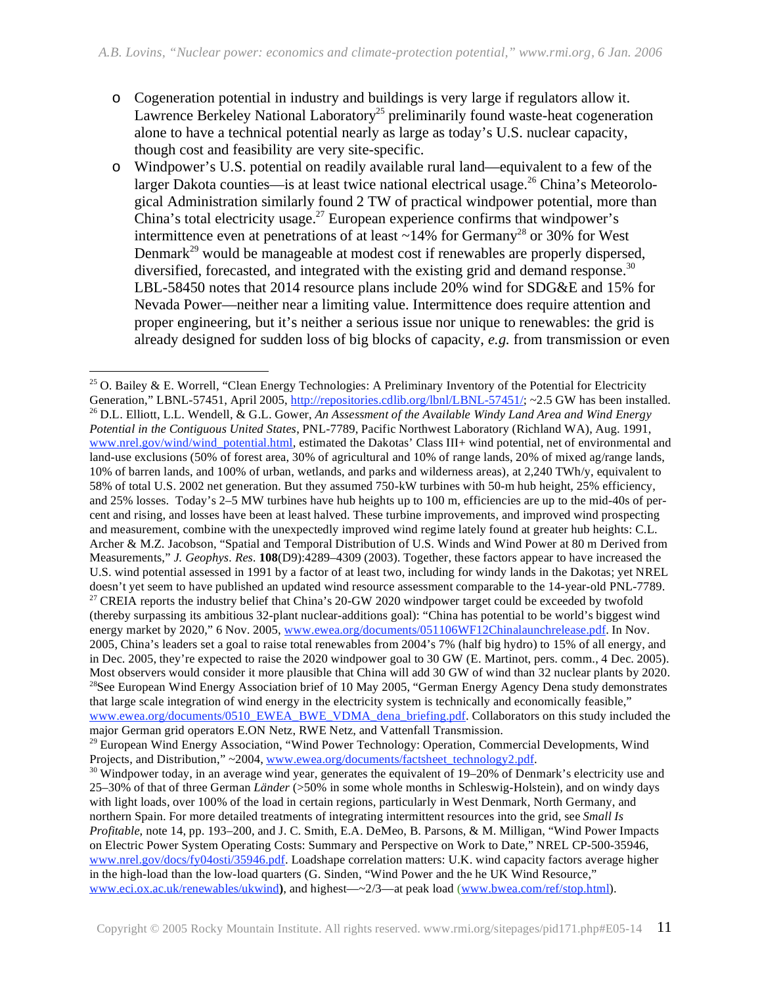- o Cogeneration potential in industry and buildings is very large if regulators allow it. Lawrence Berkeley National Laboratory<sup>25</sup> preliminarily found waste-heat cogeneration alone to have a technical potential nearly as large as today's U.S. nuclear capacity, though cost and feasibility are very site-specific.
- o Windpower's U.S. potential on readily available rural land—equivalent to a few of the larger Dakota counties—is at least twice national electrical usage.<sup>26</sup> China's Meteorological Administration similarly found 2 TW of practical windpower potential, more than China's total electricity usage.<sup>27</sup> European experience confirms that windpower's intermittence even at penetrations of at least  $\sim$ 14% for Germany<sup>28</sup> or 30% for West Denmark<sup>29</sup> would be manageable at modest cost if renewables are properly dispersed, diversified, forecasted, and integrated with the existing grid and demand response.<sup>30</sup> LBL-58450 notes that 2014 resource plans include 20% wind for SDG&E and 15% for Nevada Power—neither near a limiting value. Intermittence does require attention and proper engineering, but it's neither a serious issue nor unique to renewables: the grid is already designed for sudden loss of big blocks of capacity, *e.g.* from transmission or even

-

<sup>&</sup>lt;sup>25</sup> O. Bailey & E. Worrell, "Clean Energy Technologies: A Preliminary Inventory of the Potential for Electricity Generation," LBNL-57451, April 2005, http://repositories.cdlib.org/lbnl/LBNL-57451/; ~2.5 GW has been installed.<br><sup>26</sup> D.L. Elliott, L.L. Wendell, & G.L. Gower, An Assessment of the Available Windy Land Area and Wind Energy *Potential in the Contiguous United States*, PNL-7789, Pacific Northwest Laboratory (Richland WA), Aug. 1991, www.nrel.gov/wind/wind\_potential.html, estimated the Dakotas' Class III+ wind potential, net of environmental and land-use exclusions (50% of forest area, 30% of agricultural and 10% of range lands, 20% of mixed ag/range lands, 10% of barren lands, and 100% of urban, wetlands, and parks and wilderness areas), at 2,240 TWh/y, equivalent to 58% of total U.S. 2002 net generation. But they assumed 750-kW turbines with 50-m hub height, 25% efficiency, and 25% losses. Today's 2–5 MW turbines have hub heights up to 100 m, efficiencies are up to the mid-40s of percent and rising, and losses have been at least halved. These turbine improvements, and improved wind prospecting and measurement, combine with the unexpectedly improved wind regime lately found at greater hub heights: C.L. Archer & M.Z. Jacobson, "Spatial and Temporal Distribution of U.S. Winds and Wind Power at 80 m Derived from Measurements," *J. Geophys. Res.* **108**(D9):4289–4309 (2003). Together, these factors appear to have increased the U.S. wind potential assessed in 1991 by a factor of at least two, including for windy lands in the Dakotas; yet NREL doesn't yet seem to have published an updated wind resource assessment comparable to the 14-year-old PNL-7789. <sup>27</sup> CREIA reports the industry belief that China's 20-GW 2020 windpower target could be exceeded by twofold (thereby surpassing its ambitious 32-plant nuclear-additions goal): "China has potential to be world's biggest wind energy market by 2020," 6 Nov. 2005, www.ewea.org/documents/051106WF12Chinalaunchrelease.pdf. In Nov. 2005, China's leaders set a goal to raise total renewables from 2004's 7% (half big hydro) to 15% of all energy, and in Dec. 2005, they're expected to raise the 2020 windpower goal to 30 GW (E. Martinot, pers. comm., 4 Dec. 2005). Most observers would consider it more plausible that China will add 30 GW of wind than 32 nuclear plants by 2020. <sup>28</sup>See European Wind Energy Association brief of 10 May 2005, "German Energy Agency Dena study demonstrates" that large scale integration of wind energy in the electricity system is technically and economically feasible," www.ewea.org/documents/0510\_EWEA\_BWE\_VDMA\_dena\_briefing.pdf. Collaborators on this study included the major German grid operators E.ON Netz, RWE Netz, and Vattenfall Transmission.

<sup>&</sup>lt;sup>29</sup> European Wind Energy Association, "Wind Power Technology: Operation, Commercial Developments, Wind Projects, and Distribution," ~2004,  $\frac{www.ewea.org/documents/factsheet-technology2.pdf}{$ .

 $30$  Windpower today, in an average wind year, generates the equivalent of 19–20% of Denmark's electricity use and 25–30% of that of three German *Länder* (>50% in some whole months in Schleswig-Holstein), and on windy days with light loads, over 100% of the load in certain regions, particularly in West Denmark, North Germany, and northern Spain. For more detailed treatments of integrating intermittent resources into the grid, see *Small Is Profitable*, note 14, pp. 193–200, and J. C. Smith, E.A. DeMeo, B. Parsons, & M. Milligan, "Wind Power Impacts on Electric Power System Operating Costs: Summary and Perspective on Work to Date," NREL CP-500-35946, www.nrel.gov/docs/fy04osti/35946.pdf. Loadshape correlation matters: U.K. wind capacity factors average higher in the high-load than the low-load quarters (G. Sinden, "Wind Power and the he UK Wind Resource," www.eci.ox.ac.uk/renewables/ukwind**)**, and highest—~2/3—at peak load (www.bwea.com/ref/stop.html).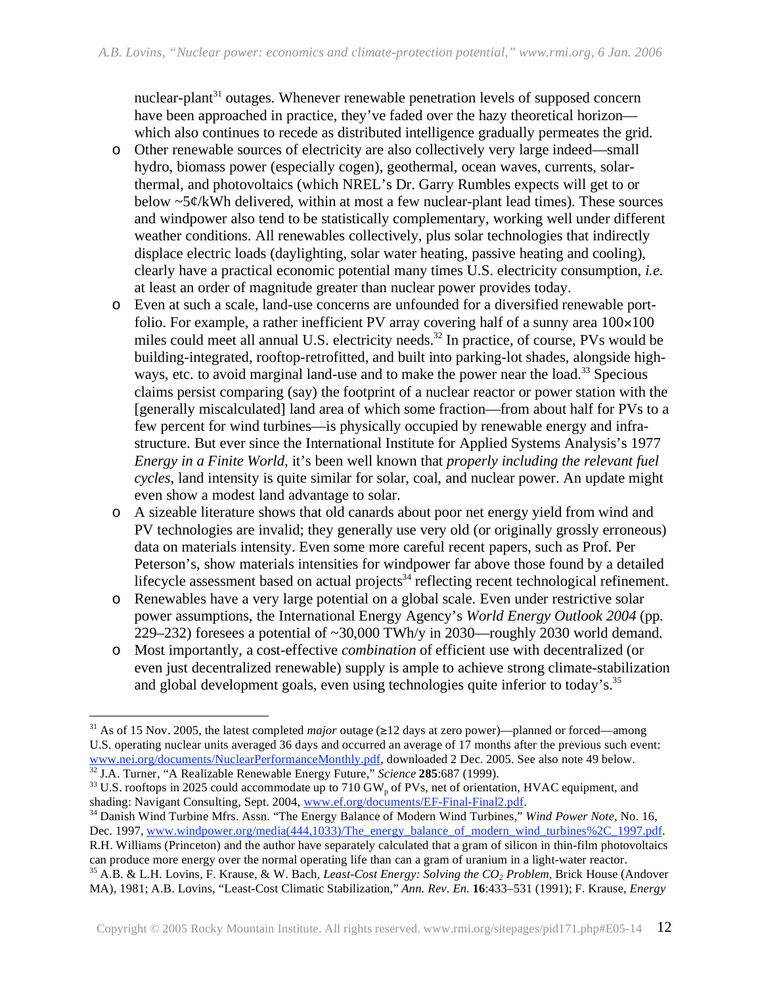nuclear-plant<sup>31</sup> outages. Whenever renewable penetration levels of supposed concern have been approached in practice, they've faded over the hazy theoretical horizon which also continues to recede as distributed intelligence gradually permeates the grid.

- o Other renewable sources of electricity are also collectively very large indeed—small hydro, biomass power (especially cogen), geothermal, ocean waves, currents, solarthermal, and photovoltaics (which NREL's Dr. Garry Rumbles expects will get to or below  $\sim$ 5¢/kWh delivered, within at most a few nuclear-plant lead times). These sources and windpower also tend to be statistically complementary, working well under different weather conditions. All renewables collectively, plus solar technologies that indirectly displace electric loads (daylighting, solar water heating, passive heating and cooling), clearly have a practical economic potential many times U.S. electricity consumption, *i.e.*  at least an order of magnitude greater than nuclear power provides today.
- o Even at such a scale, land-use concerns are unfounded for a diversified renewable portfolio. For example, a rather inefficient PV array covering half of a sunny area  $100\times100$ miles could meet all annual U.S. electricity needs.<sup>32</sup> In practice, of course, PVs would be building-integrated, rooftop-retrofitted, and built into parking-lot shades, alongside highways, etc. to avoid marginal land-use and to make the power near the load.<sup>33</sup> Specious claims persist comparing (say) the footprint of a nuclear reactor or power station with the [generally miscalculated] land area of which some fraction—from about half for PVs to a few percent for wind turbines—is physically occupied by renewable energy and infrastructure. But ever since the International Institute for Applied Systems Analysis's 1977 *Energy in a Finite World*, it's been well known that *properly including the relevant fuel cycles*, land intensity is quite similar for solar, coal, and nuclear power. An update might even show a modest land advantage to solar.
- o A sizeable literature shows that old canards about poor net energy yield from wind and PV technologies are invalid; they generally use very old (or originally grossly erroneous) data on materials intensity. Even some more careful recent papers, such as Prof. Per Peterson's, show materials intensities for windpower far above those found by a detailed lifecycle assessment based on actual projects<sup>34</sup> reflecting recent technological refinement.
- o Renewables have a very large potential on a global scale. Even under restrictive solar power assumptions, the International Energy Agency's *World Energy Outlook 2004* (pp. 229–232) foresees a potential of  $\sim$ 30,000 TWh/y in 2030—roughly 2030 world demand.
- o Most importantly, a cost-effective *combination* of efficient use with decentralized (or even just decentralized renewable) supply is ample to achieve strong climate-stabilization and global development goals, even using technologies quite inferior to today's.<sup>35</sup>

 $\overline{a}$ 

<sup>35</sup> A.B. & L.H. Lovins, F. Krause, & W. Bach, *Least-Cost Energy: Solving the CO<sub>2</sub> Problem*, Brick House (Andover MA), 1981; A.B. Lovins, "Least-Cost Climatic Stabilization," *Ann. Rev. En.* **16**:433–531 (1991); F. Krause, *Energy* 

<sup>&</sup>lt;sup>31</sup> As of 15 Nov. 2005, the latest completed *major* outage  $(\geq 12$  days at zero power)—planned or forced—among U.S. operating nuclear units averaged 36 days and occurred an average of 17 months after the previous such event:<br>www.nei.org/documents/NuclearPerformanceMonthly.pdf, downloaded 2 Dec. 2005. See also note 49 below.

 $\frac{32}{32}$  J.A. Turner, "A Realizable Renewable Energy Future," Science 285:687 (1999).<br><sup>33</sup> U.S. rooftops in 2025 could accommodate up to 710 GW<sub>p</sub> of PVs, net of orientation, HVAC equipment, and shading: Navigant Consu

<sup>&</sup>lt;sup>34</sup> Danish Wind Turbine Mfrs. Assn. "The Energy Balance of Modern Wind Turbines," *Wind Power Note*, No. 16, Dec. 1997, www.windpower.org/media(444,1033)/The\_energy\_balance\_of\_modern\_wind\_turbines%2C\_1997.pdf.

R.H. Williams (Princeton) and the author have separately calculated that a gram of silicon in thin-film photovoltaics can produce more energy over the normal operating life than can a gram of uranium in a light-water reactor.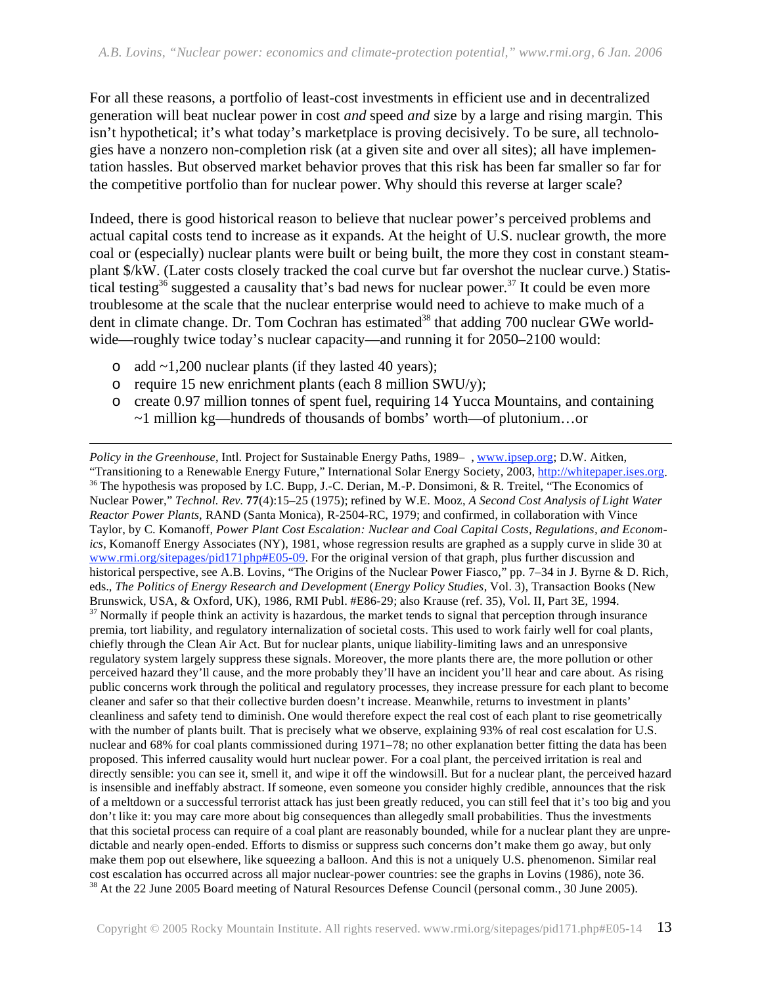For all these reasons, a portfolio of least-cost investments in efficient use and in decentralized generation will beat nuclear power in cost *and* speed *and* size by a large and rising margin. This isn't hypothetical; it's what today's marketplace is proving decisively. To be sure, all technologies have a nonzero non-completion risk (at a given site and over all sites); all have implementation hassles. But observed market behavior proves that this risk has been far smaller so far for the competitive portfolio than for nuclear power. Why should this reverse at larger scale?

Indeed, there is good historical reason to believe that nuclear power's perceived problems and actual capital costs tend to increase as it expands. At the height of U.S. nuclear growth, the more coal or (especially) nuclear plants were built or being built, the more they cost in constant steamplant \$/kW. (Later costs closely tracked the coal curve but far overshot the nuclear curve.) Statistical testing<sup>36</sup> suggested a causality that's bad news for nuclear power.<sup>37</sup> It could be even more troublesome at the scale that the nuclear enterprise would need to achieve to make much of a dent in climate change. Dr. Tom Cochran has estimated<sup>38</sup> that adding 700 nuclear GWe worldwide—roughly twice today's nuclear capacity—and running it for 2050–2100 would:

 $\circ$  add  $\sim$ 1,200 nuclear plants (if they lasted 40 years);

 $\overline{a}$ 

- $\circ$  require 15 new enrichment plants (each 8 million SWU/y);
- o create 0.97 million tonnes of spent fuel, requiring 14 Yucca Mountains, and containing ~1 million kg—hundreds of thousands of bombs' worth—of plutonium…or

*Policy in the Greenhouse*, Intl. Project for Sustainable Energy Paths, 1989–, www.ipsep.org; D.W. Aitken,<br>"Transitioning to a Renewable Energy Future," International Solar Energy Society, 2003, http://whitepaper.ises.org. <sup>36</sup> The hypothesis was proposed by I.C. Bupp, J.-C. Derian, M.-P. Donsimoni, & R. Treitel, "The Economics of Nuclear Power," *Technol. Rev.* **77**(4):15–25 (1975); refined by W.E. Mooz, *A Second Cost Analysis of Light Water Reactor Power Plants*, RAND (Santa Monica), R-2504-RC, 1979; and confirmed, in collaboration with Vince Taylor, by C. Komanoff, *Power Plant Cost Escalation: Nuclear and Coal Capital Costs, Regulations, and Economics*, Komanoff Energy Associates (NY), 1981, whose regression results are graphed as a supply curve in slide 30 at www.rmi.org/sitepages/pid171php#E05-09. For the original version of that graph, plus further discussion and historical perspective, see A.B. Lovins, "The Origins of the Nuclear Power Fiasco," pp. 7–34 in J. Byrne & D. Rich, eds., *The Politics of Energy Research and Development* (*Energy Policy Studies*, Vol. 3), Transaction Books (New Brunswick, USA, & Oxford, UK), 1986, RMI Publ. #E86-29; also Krause (ref. 35), Vol. II, Part 3E, 1994.  $37$  Normally if people think an activity is hazardous, the market tends to signal that perception through insurance premia, tort liability, and regulatory internalization of societal costs. This used to work fairly well for coal plants, chiefly through the Clean Air Act. But for nuclear plants, unique liability-limiting laws and an unresponsive regulatory system largely suppress these signals. Moreover, the more plants there are, the more pollution or other perceived hazard they'll cause, and the more probably they'll have an incident you'll hear and care about. As rising public concerns work through the political and regulatory processes, they increase pressure for each plant to become cleaner and safer so that their collective burden doesn't increase. Meanwhile, returns to investment in plants' cleanliness and safety tend to diminish. One would therefore expect the real cost of each plant to rise geometrically with the number of plants built. That is precisely what we observe, explaining 93% of real cost escalation for U.S. nuclear and 68% for coal plants commissioned during 1971–78; no other explanation better fitting the data has been proposed. This inferred causality would hurt nuclear power. For a coal plant, the perceived irritation is real and directly sensible: you can see it, smell it, and wipe it off the windowsill. But for a nuclear plant, the perceived hazard is insensible and ineffably abstract. If someone, even someone you consider highly credible, announces that the risk of a meltdown or a successful terrorist attack has just been greatly reduced, you can still feel that it's too big and you don't like it: you may care more about big consequences than allegedly small probabilities. Thus the investments that this societal process can require of a coal plant are reasonably bounded, while for a nuclear plant they are unpredictable and nearly open-ended. Efforts to dismiss or suppress such concerns don't make them go away, but only make them pop out elsewhere, like squeezing a balloon. And this is not a uniquely U.S. phenomenon. Similar real cost escalation has occurred across all major nuclear-power countries: see the graphs in Lovins (1986), note 36. 38 At the 22 June 2005 Board meeting of Natural Resources Defense Council (personal comm., 30 June 2005).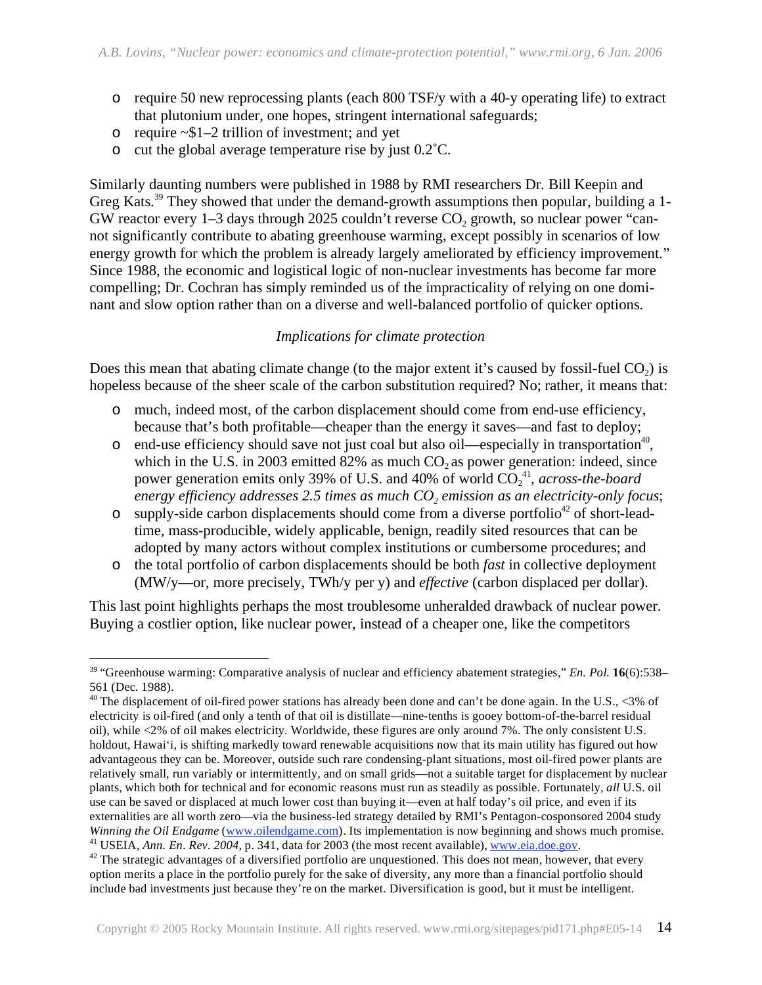- o require 50 new reprocessing plants (each 800 TSF/y with a 40-y operating life) to extract that plutonium under, one hopes, stringent international safeguards;
- $\circ$  require ~\$1–2 trillion of investment; and yet
- o cut the global average temperature rise by just 0.2˚C.

Similarly daunting numbers were published in 1988 by RMI researchers Dr. Bill Keepin and Greg Kats.<sup>39</sup> They showed that under the demand-growth assumptions then popular, building a 1-GW reactor every  $1-3$  days through 2025 couldn't reverse  $CO<sub>2</sub>$  growth, so nuclear power "cannot significantly contribute to abating greenhouse warming, except possibly in scenarios of low energy growth for which the problem is already largely ameliorated by efficiency improvement." Since 1988, the economic and logistical logic of non-nuclear investments has become far more compelling; Dr. Cochran has simply reminded us of the impracticality of relying on one dominant and slow option rather than on a diverse and well-balanced portfolio of quicker options.

### *Implications for climate protection*

Does this mean that abating climate change (to the major extent it's caused by fossil-fuel  $CO<sub>2</sub>$ ) is hopeless because of the sheer scale of the carbon substitution required? No; rather, it means that:

- o much, indeed most, of the carbon displacement should come from end-use efficiency, because that's both profitable—cheaper than the energy it saves—and fast to deploy;
- $\circ$  end-use efficiency should save not just coal but also oil—especially in transportation<sup>40</sup>, which in the U.S. in 2003 emitted 82% as much  $CO<sub>2</sub>$  as power generation: indeed, since power generation emits only 39% of U.S. and 40% of world  $CO_2^{41}$ , *across-the-board energy efficiency addresses* 2.5 times as much  $CO<sub>2</sub>$  emission as an electricity-only focus;
- o supply-side carbon displacements should come from a diverse portfolio<sup>42</sup> of short-leadtime, mass-producible, widely applicable, benign, readily sited resources that can be adopted by many actors without complex institutions or cumbersome procedures; and
- o the total portfolio of carbon displacements should be both *fast* in collective deployment (MW/y—or, more precisely, TWh/y per y) and *effective* (carbon displaced per dollar).

This last point highlights perhaps the most troublesome unheralded drawback of nuclear power. Buying a costlier option, like nuclear power, instead of a cheaper one, like the competitors

 $\overline{a}$ 39 "Greenhouse warming: Comparative analysis of nuclear and efficiency abatement strategies," *En. Pol.* **16**(6):538– 561 (Dec. 1988).

<sup>&</sup>lt;sup>40</sup> The displacement of oil-fired power stations has already been done and can't be done again. In the U.S.,  $\langle 3\%$  of electricity is oil-fired (and only a tenth of that oil is distillate—nine-tenths is gooey bottom-of-the-barrel residual oil), while <2% of oil makes electricity. Worldwide, these figures are only around 7%. The only consistent U.S. holdout, Hawai'i, is shifting markedly toward renewable acquisitions now that its main utility has figured out how advantageous they can be. Moreover, outside such rare condensing-plant situations, most oil-fired power plants are relatively small, run variably or intermittently, and on small grids—not a suitable target for displacement by nuclear plants, which both for technical and for economic reasons must run as steadily as possible. Fortunately, *all* U.S. oil use can be saved or displaced at much lower cost than buying it—even at half today's oil price, and even if its externalities are all worth zero—via the business-led strategy detailed by RMI's Pentagon-cosponsored 2004 study *Winning the Oil Endgame* (www.oilendgame.com). Its implementation is now beginning and shows much promise.<br><sup>41</sup> USEIA, *Ann. En. Rev.* 2004, p. 341, data for 2003 (the most recent available), www.eia.doe.gov.<br><sup>42</sup> The st

option merits a place in the portfolio purely for the sake of diversity, any more than a financial portfolio should include bad investments just because they're on the market. Diversification is good, but it must be intelligent.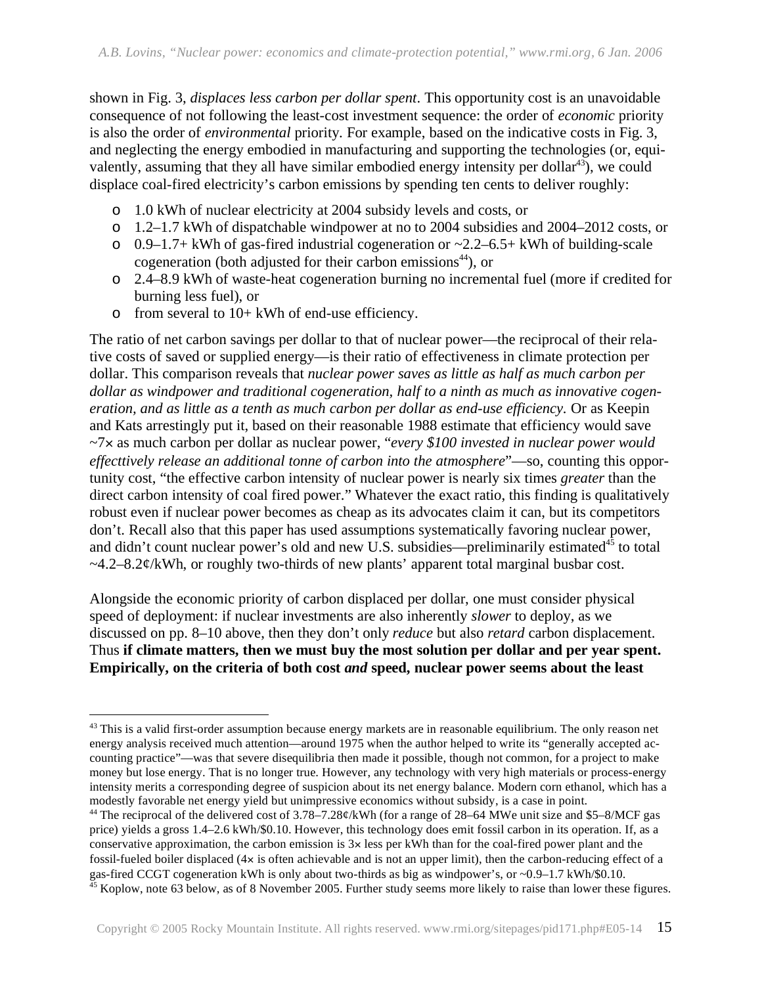shown in Fig. 3, *displaces less carbon per dollar spent*. This opportunity cost is an unavoidable consequence of not following the least-cost investment sequence: the order of *economic* priority is also the order of *environmental* priority. For example, based on the indicative costs in Fig. 3, and neglecting the energy embodied in manufacturing and supporting the technologies (or, equivalently, assuming that they all have similar embodied energy intensity per dollar<sup>43</sup>), we could displace coal-fired electricity's carbon emissions by spending ten cents to deliver roughly:

- o 1.0 kWh of nuclear electricity at 2004 subsidy levels and costs, or
- o 1.2–1.7 kWh of dispatchable windpower at no to 2004 subsidies and 2004–2012 costs, or
- $\circ$  0.9–1.7+ kWh of gas-fired industrial cogeneration or ~2.2–6.5+ kWh of building-scale cogeneration (both adjusted for their carbon emissions $44$ ), or
- o 2.4–8.9 kWh of waste-heat cogeneration burning no incremental fuel (more if credited for burning less fuel), or
- o from several to 10+ kWh of end-use efficiency.

<u>.</u>

The ratio of net carbon savings per dollar to that of nuclear power—the reciprocal of their relative costs of saved or supplied energy—is their ratio of effectiveness in climate protection per dollar. This comparison reveals that *nuclear power saves as little as half as much carbon per dollar as windpower and traditional cogeneration, half to a ninth as much as innovative cogeneration, and as little as a tenth as much carbon per dollar as end-use efficiency.* Or as Keepin and Kats arrestingly put it, based on their reasonable 1988 estimate that efficiency would save ~7 as much carbon per dollar as nuclear power, "*every \$100 invested in nuclear power would effecttively release an additional tonne of carbon into the atmosphere*"—so, counting this opportunity cost, "the effective carbon intensity of nuclear power is nearly six times *greater* than the direct carbon intensity of coal fired power." Whatever the exact ratio, this finding is qualitatively robust even if nuclear power becomes as cheap as its advocates claim it can, but its competitors don't. Recall also that this paper has used assumptions systematically favoring nuclear power, and didn't count nuclear power's old and new U.S. subsidies—preliminarily estimated $45$  to total  $-4.2-8.2¢$ /kWh, or roughly two-thirds of new plants' apparent total marginal busbar cost.

Alongside the economic priority of carbon displaced per dollar, one must consider physical speed of deployment: if nuclear investments are also inherently *slower* to deploy, as we discussed on pp. 8–10 above, then they don't only *reduce* but also *retard* carbon displacement. Thus **if climate matters, then we must buy the most solution per dollar and per year spent.**  Empirically, on the criteria of both cost *and* speed, nuclear power seems about the least

<sup>&</sup>lt;sup>43</sup> This is a valid first-order assumption because energy markets are in reasonable equilibrium. The only reason net energy analysis received much attention—around 1975 when the author helped to write its "generally accepted accounting practice"—was that severe disequilibria then made it possible, though not common, for a project to make money but lose energy. That is no longer true. However, any technology with very high materials or process-energy intensity merits a corresponding degree of suspicion about its net energy balance. Modern corn ethanol, which has a modestly favorable net energy yield but unimpressive economics without subsidy, is a case in point.

<sup>&</sup>lt;sup>44</sup> The reciprocal of the delivered cost of 3.78–7.28¢/kWh (for a range of 28–64 MWe unit size and \$5–8/MCF gas price) yields a gross 1.4–2.6 kWh/\$0.10. However, this technology does emit fossil carbon in its operation. If, as a conservative approximation, the carbon emission is  $3x$  less per kWh than for the coal-fired power plant and the fossil-fueled boiler displaced  $(4 \times$  is often achievable and is not an upper limit), then the carbon-reducing effect of a gas-fired CCGT cogeneration kWh is only about two-thirds as big as windpower's, or ~0.9–1.7 kWh/\$0.10.  $45$  Koplow, note 63 below, as of 8 November 2005. Further study seems more likely to raise than lower these figures.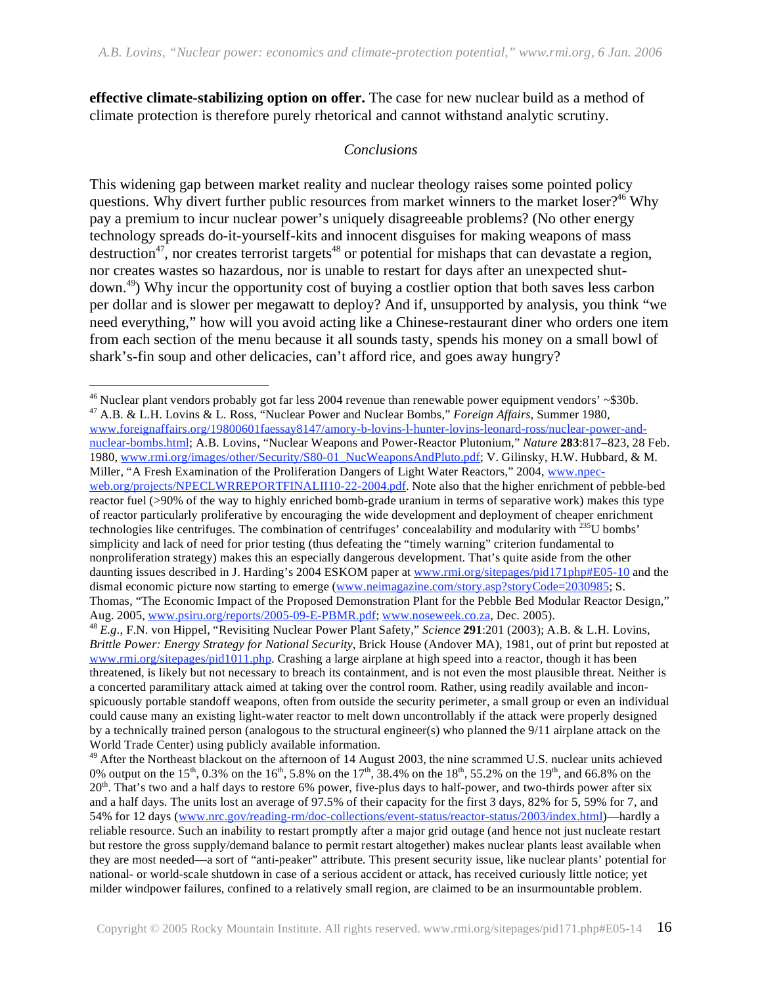**effective climate-stabilizing option on offer.** The case for new nuclear build as a method of climate protection is therefore purely rhetorical and cannot withstand analytic scrutiny.

#### *Conclusions*

This widening gap between market reality and nuclear theology raises some pointed policy questions. Why divert further public resources from market winners to the market loser?<sup>46</sup> Why pay a premium to incur nuclear power's uniquely disagreeable problems? (No other energy technology spreads do-it-yourself-kits and innocent disguises for making weapons of mass  $\det$  destruction<sup>47</sup>, nor creates terrorist targets<sup>48</sup> or potential for mishaps that can devastate a region, nor creates wastes so hazardous, nor is unable to restart for days after an unexpected shutdown.49) Why incur the opportunity cost of buying a costlier option that both saves less carbon per dollar and is slower per megawatt to deploy? And if, unsupported by analysis, you think "we need everything," how will you avoid acting like a Chinese-restaurant diner who orders one item from each section of the menu because it all sounds tasty, spends his money on a small bowl of shark's-fin soup and other delicacies, can't afford rice, and goes away hungry?

 $\overline{a}$ 

 $46$  Nuclear plant vendors probably got far less 2004 revenue than renewable power equipment vendors'  $\sim$ \$30b. 47 A.B. & L.H. Lovins & L. Ross, "Nuclear Power and Nuclear Bombs," *Foreign Affairs*, Summer 1980,

www.foreignaffairs.org/19800601faessay8147/amory-b-lovins-l-hunter-lovins-leonard-ross/nuclear-power-andnuclear-bombs.html; A.B. Lovins, "Nuclear Weapons and Power-Reactor Plutonium," *Nature* **283**:817–823, 28 Feb. 1980, www.rmi.org/images/other/Security/S80-01\_NucWeaponsAndPluto.pdf; V. Gilinsky, H.W. Hubbard, & M. Miller, "A Fresh Examination of the Proliferation Dangers of Light Water Reactors," 2004, www.npecweb.org/projects/NPECLWRREPORTFINALII10-22-2004.pdf. Note also that the higher enrichment of pebble-bed reactor fuel (>90% of the way to highly enriched bomb-grade uranium in terms of separative work) makes this type of reactor particularly proliferative by encouraging the wide development and deployment of cheaper enrichment technologies like centrifuges. The combination of centrifuges' concealability and modularity with 235U bombs' simplicity and lack of need for prior testing (thus defeating the "timely warning" criterion fundamental to nonproliferation strategy) makes this an especially dangerous development. That's quite aside from the other daunting issues described in J. Harding's 2004 ESKOM paper at www.rmi.org/sitepages/pid171php#E05-10 and the dismal economic picture now starting to emerge (www.neimagazine.com/story.asp?storyCode=2030985; S. Thomas, "The Economic Impact of the Proposed Demonstration Plant for the Pebble Bed Modular Reactor Design,"<br>Aug. 2005, www.psiru.org/reports/2005-09-E-PBMR.pdf; www.noseweek.co.za, Dec. 2005).

<sup>&</sup>lt;sup>48</sup> E.g., F.N. von Hippel, "Revisiting Nuclear Power Plant Safety," *Science* **291**:201 (2003); A.B. & L.H. Lovins, *Brittle Power: Energy Strategy for National Security*, Brick House (Andover MA), 1981, out of print but reposted at www.rmi.org/sitepages/pid1011.php. Crashing a large airplane at high speed into a reactor, though it has been threatened, is likely but not necessary to breach its containment, and is not even the most plausible threat. Neither is a concerted paramilitary attack aimed at taking over the control room. Rather, using readily available and inconspicuously portable standoff weapons, often from outside the security perimeter, a small group or even an individual could cause many an existing light-water reactor to melt down uncontrollably if the attack were properly designed by a technically trained person (analogous to the structural engineer(s) who planned the 9/11 airplane attack on the World Trade Center) using publicly available information.

<sup>&</sup>lt;sup>49</sup> After the Northeast blackout on the afternoon of 14 August 2003, the nine scrammed U.S. nuclear units achieved 0% output on the 15<sup>th</sup>, 0.3% on the 16<sup>th</sup>, 5.8% on the 17<sup>th</sup>, 38.4% on the 18<sup>th</sup>, 55.2% on the 19<sup>th</sup>, and 66.8% on the  $20<sup>th</sup>$ . That's two and a half days to restore 6% power, five-plus days to half-power, and two-thirds power after six and a half days. The units lost an average of 97.5% of their capacity for the first 3 days, 82% for 5, 59% for 7, and 54% for 12 days (www.nrc.gov/reading-rm/doc-collections/event-status/reactor-status/2003/index.html)—hardly a reliable resource. Such an inability to restart promptly after a major grid outage (and hence not just nucleate restart but restore the gross supply/demand balance to permit restart altogether) makes nuclear plants least available when they are most needed—a sort of "anti-peaker" attribute. This present security issue, like nuclear plants' potential for national- or world-scale shutdown in case of a serious accident or attack, has received curiously little notice; yet milder windpower failures, confined to a relatively small region, are claimed to be an insurmountable problem.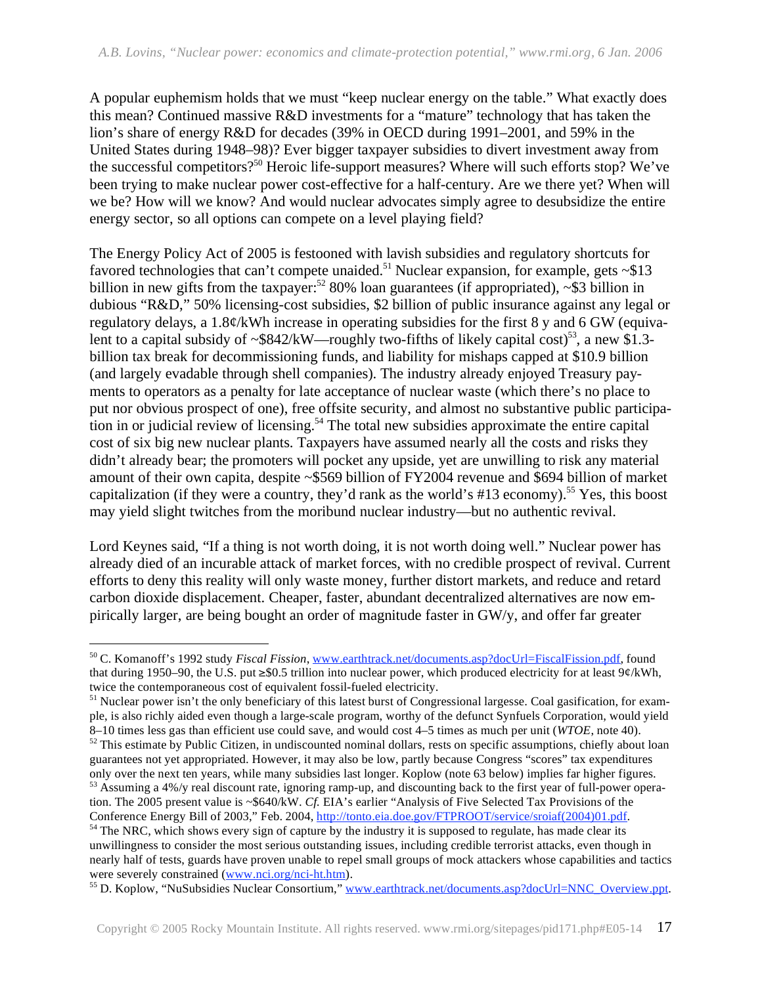A popular euphemism holds that we must "keep nuclear energy on the table." What exactly does this mean? Continued massive R&D investments for a "mature" technology that has taken the lion's share of energy R&D for decades (39% in OECD during 1991–2001, and 59% in the United States during 1948–98)? Ever bigger taxpayer subsidies to divert investment away from the successful competitors?50 Heroic life-support measures? Where will such efforts stop? We've been trying to make nuclear power cost-effective for a half-century. Are we there yet? When will we be? How will we know? And would nuclear advocates simply agree to desubsidize the entire energy sector, so all options can compete on a level playing field?

The Energy Policy Act of 2005 is festooned with lavish subsidies and regulatory shortcuts for favored technologies that can't compete unaided.<sup>51</sup> Nuclear expansion, for example, gets  $\sim$ \$13 billion in new gifts from the taxpayer:<sup>52</sup> 80% loan guarantees (if appropriated),  $\sim$ \$3 billion in dubious "R&D," 50% licensing-cost subsidies, \$2 billion of public insurance against any legal or regulatory delays, a 1.8¢/kWh increase in operating subsidies for the first 8 y and 6 GW (equivalent to a capital subsidy of  $\sim$ \$842/kW—roughly two-fifths of likely capital cost)<sup>53</sup>, a new \$1.3billion tax break for decommissioning funds, and liability for mishaps capped at \$10.9 billion (and largely evadable through shell companies). The industry already enjoyed Treasury payments to operators as a penalty for late acceptance of nuclear waste (which there's no place to put nor obvious prospect of one), free offsite security, and almost no substantive public participation in or judicial review of licensing.<sup>54</sup> The total new subsidies approximate the entire capital cost of six big new nuclear plants. Taxpayers have assumed nearly all the costs and risks they didn't already bear; the promoters will pocket any upside, yet are unwilling to risk any material amount of their own capita, despite ~\$569 billion of FY2004 revenue and \$694 billion of market capitalization (if they were a country, they'd rank as the world's #13 economy).<sup>55</sup> Yes, this boost may yield slight twitches from the moribund nuclear industry—but no authentic revival.

Lord Keynes said, "If a thing is not worth doing, it is not worth doing well." Nuclear power has already died of an incurable attack of market forces, with no credible prospect of revival. Current efforts to deny this reality will only waste money, further distort markets, and reduce and retard carbon dioxide displacement. Cheaper, faster, abundant decentralized alternatives are now empirically larger, are being bought an order of magnitude faster in GW/y, and offer far greater

 $\overline{a}$ 

tion. The 2005 present value is ~\$640/kW. *Cf.* EIA's earlier "Analysis of Five Selected Tax Provisions of the Conference Energy Bill of 2003," Feb. 2004, http://tonto.eia.doe.gov/FTPROOT/service/sroiaf(2004)01.pdf.

<sup>50</sup> C. Komanoff's 1992 study *Fiscal Fission*, www.earthtrack.net/documents.asp?docUrl=FiscalFission.pdf, found that during 1950–90, the U.S. put  $\geq$  \$0.5 trillion into nuclear power, which produced electricity for at least 9¢/kWh, twice the contemporaneous cost of equivalent fossil-fueled electricity.

<sup>&</sup>lt;sup>51</sup> Nuclear power isn't the only beneficiary of this latest burst of Congressional largesse. Coal gasification, for example, is also richly aided even though a large-scale program, worthy of the defunct Synfuels Corporation, would yield 8–10 times less gas than efficient use could save, and would cost 4–5 times as much per unit ( $\dot{W}TOE$ , note 40).<br><sup>52</sup> This estimate by Public Citizen, in undiscounted nominal dollars, rests on specific assumptions, chie

guarantees not yet appropriated. However, it may also be low, partly because Congress "scores" tax expenditures only over the next ten years, while many subsidies last longer. Koplow (note 63 below) implies far higher figures. <sup>53</sup> Assuming a 4%/y real discount rate, ignoring ramp-up, and discounting back to the first year of full-power opera-

<sup>&</sup>lt;sup>54</sup> The NRC, which shows every sign of capture by the industry it is supposed to regulate, has made clear its unwillingness to consider the most serious outstanding issues, including credible terrorist attacks, even though in nearly half of tests, guards have proven unable to repel small groups of mock attackers whose capabilities and tactics<br>were severely constrained (www.nci.org/nci-ht.htm).

<sup>&</sup>lt;sup>55</sup> D. Koplow, "NuSubsidies Nuclear Consortium," www.earthtrack.net/documents.asp?docUrl=NNC\_Overview.ppt.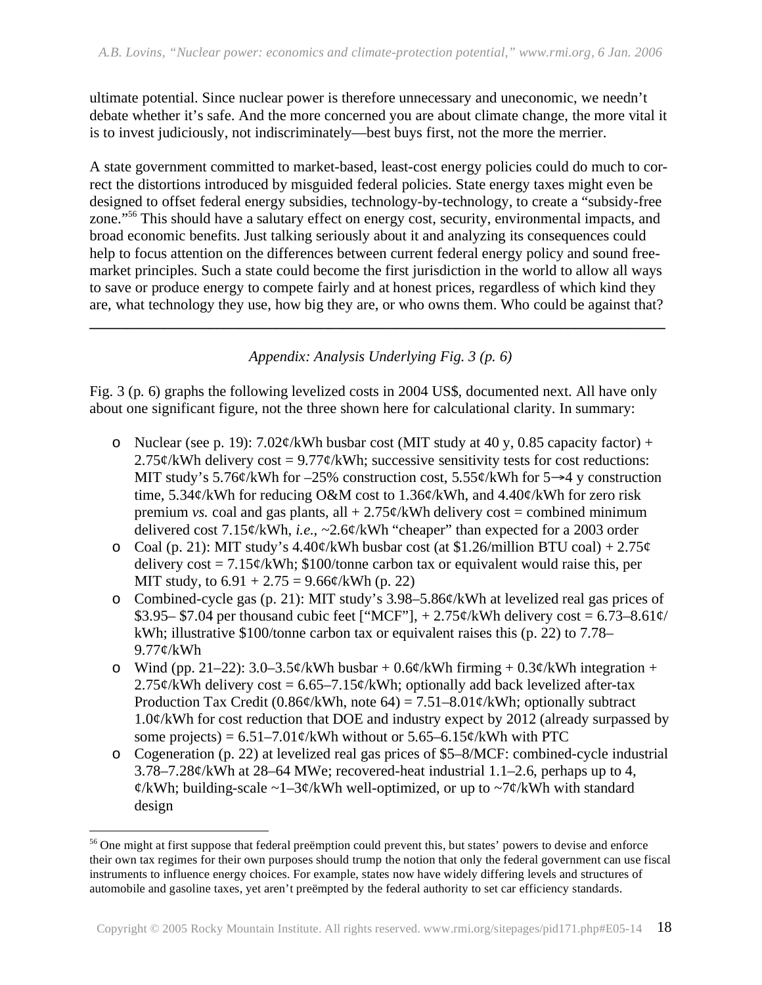ultimate potential. Since nuclear power is therefore unnecessary and uneconomic, we needn't debate whether it's safe. And the more concerned you are about climate change, the more vital it is to invest judiciously, not indiscriminately—best buys first, not the more the merrier.

A state government committed to market-based, least-cost energy policies could do much to correct the distortions introduced by misguided federal policies. State energy taxes might even be designed to offset federal energy subsidies, technology-by-technology, to create a "subsidy-free zone."56 This should have a salutary effect on energy cost, security, environmental impacts, and broad economic benefits. Just talking seriously about it and analyzing its consequences could help to focus attention on the differences between current federal energy policy and sound freemarket principles. Such a state could become the first jurisdiction in the world to allow all ways to save or produce energy to compete fairly and at honest prices, regardless of which kind they are, what technology they use, how big they are, or who owns them. Who could be against that?

*Appendix: Analysis Underlying Fig. 3 (p. 6)* 

**\_\_\_\_\_\_\_\_\_\_\_\_\_\_\_\_\_\_\_\_\_\_\_\_\_\_\_\_\_\_\_\_\_\_\_\_\_\_\_\_\_\_\_\_\_\_\_\_\_\_\_\_\_\_\_\_\_\_\_\_\_\_\_\_\_\_\_\_\_\_\_\_\_\_\_\_\_** 

Fig. 3 (p. 6) graphs the following levelized costs in 2004 US\$, documented next. All have only about one significant figure, not the three shown here for calculational clarity. In summary:

- o Nuclear (see p. 19): 7.02¢/kWh busbar cost (MIT study at 40 y, 0.85 capacity factor) +  $2.75¢/kWh$  delivery cost = 9.77¢/kWh; successive sensitivity tests for cost reductions: MIT study's 5.76¢/kWh for  $-25\%$  construction cost, 5.55¢/kWh for 5 $\rightarrow$ 4 y construction time, 5.34¢/kWh for reducing O&M cost to 1.36¢/kWh, and 4.40¢/kWh for zero risk premium *vs.* coal and gas plants, all  $+ 2.75 \frac{\epsilon}{kWh}$  delivery cost = combined minimum delivered cost 7.15¢/kWh, *i.e.*, ~2.6¢/kWh "cheaper" than expected for a 2003 order
- o Coal (p. 21): MIT study's  $4.40\frac{\cancel{(}}{\text{W}}$  busbar cost (at \$1.26/million BTU coal) + 2.75 $\cancel{c}$ delivery  $\text{cost} = 7.15\frac{\epsilon}{kWh}$ ; \$100/tonne carbon tax or equivalent would raise this, per MIT study, to  $6.91 + 2.75 = 9.66¢/\text{kWh}$  (p. 22)
- o Combined-cycle gas (p. 21): MIT study's 3.98–5.86¢/kWh at levelized real gas prices of \$3.95– \$7.04 per thousand cubic feet ["MCF"],  $+ 2.75 \frac{\cancel{(}{kWh}}{\text{ delivery cost}} = 6.73-8.61 \frac{\cancel{(}{k}}{10})$ kWh; illustrative \$100/tonne carbon tax or equivalent raises this (p. 22) to 7.78– 9.77¢/kWh
- o Wind (pp. 21–22):  $3.0-3.5\frac{\epsilon}{kWh}$  busbar +  $0.6\frac{\epsilon}{kWh}$  firming +  $0.3\frac{\epsilon}{kWh}$  integration + 2.75¢/kWh delivery cost =  $6.65-7.15$ ¢/kWh; optionally add back levelized after-tax Production Tax Credit (0.86¢/kWh, note 64) = 7.51–8.01¢/kWh; optionally subtract  $1.0\frac{\cancel{(}}{\text{W}}$  for cost reduction that DOE and industry expect by 2012 (already surpassed by some projects) =  $6.51-7.01\frac{\cancel{e}}{kWh}$  without or  $5.65-6.15\frac{\cancel{e}}{kWh}$  with PTC
- o Cogeneration (p. 22) at levelized real gas prices of \$5–8/MCF: combined-cycle industrial 3.78–7.28¢/kWh at 28–64 MWe; recovered-heat industrial 1.1–2.6, perhaps up to 4,  $\frac{\alpha}{k}$ Wh; building-scale ~1–3 $\frac{\alpha}{k}$ Wh well-optimized, or up to ~7 $\frac{\alpha}{k}$ Wh with standard design

 $\overline{a}$ 

<sup>&</sup>lt;sup>56</sup> One might at first suppose that federal preëmption could prevent this, but states' powers to devise and enforce their own tax regimes for their own purposes should trump the notion that only the federal government can use fiscal instruments to influence energy choices. For example, states now have widely differing levels and structures of automobile and gasoline taxes, yet aren't preëmpted by the federal authority to set car efficiency standards.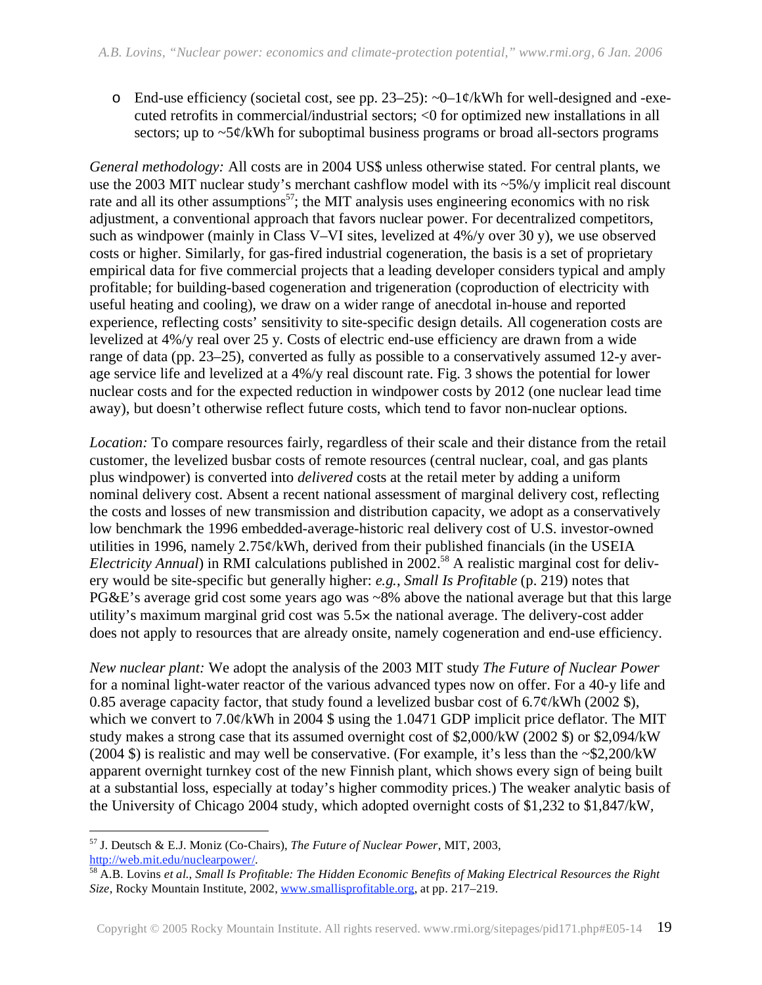o End-use efficiency (societal cost, see pp. 23–25):  $\sim 0-1\phi/kWh$  for well-designed and -executed retrofits in commercial/industrial sectors; <0 for optimized new installations in all sectors; up to ~5¢/kWh for suboptimal business programs or broad all-sectors programs

*General methodology:* All costs are in 2004 US\$ unless otherwise stated. For central plants, we use the 2003 MIT nuclear study's merchant cashflow model with its ~5%/y implicit real discount rate and all its other assumptions<sup>57</sup>; the MIT analysis uses engineering economics with no risk adjustment, a conventional approach that favors nuclear power. For decentralized competitors, such as windpower (mainly in Class V–VI sites, levelized at 4%/y over 30 y), we use observed costs or higher. Similarly, for gas-fired industrial cogeneration, the basis is a set of proprietary empirical data for five commercial projects that a leading developer considers typical and amply profitable; for building-based cogeneration and trigeneration (coproduction of electricity with useful heating and cooling), we draw on a wider range of anecdotal in-house and reported experience, reflecting costs' sensitivity to site-specific design details. All cogeneration costs are levelized at 4%/y real over 25 y. Costs of electric end-use efficiency are drawn from a wide range of data (pp. 23–25), converted as fully as possible to a conservatively assumed 12-y average service life and levelized at a 4%/y real discount rate. Fig. 3 shows the potential for lower nuclear costs and for the expected reduction in windpower costs by 2012 (one nuclear lead time away), but doesn't otherwise reflect future costs, which tend to favor non-nuclear options.

Location: To compare resources fairly, regardless of their scale and their distance from the retail customer, the levelized busbar costs of remote resources (central nuclear, coal, and gas plants plus windpower) is converted into *delivered* costs at the retail meter by adding a uniform nominal delivery cost. Absent a recent national assessment of marginal delivery cost, reflecting the costs and losses of new transmission and distribution capacity, we adopt as a conservatively low benchmark the 1996 embedded-average-historic real delivery cost of U.S. investor-owned utilities in 1996, namely 2.75¢/kWh, derived from their published financials (in the USEIA *Electricity Annual*) in RMI calculations published in 2002.<sup>58</sup> A realistic marginal cost for delivery would be site-specific but generally higher: *e.g.*, *Small Is Profitable* (p. 219) notes that PG&E's average grid cost some years ago was ~8% above the national average but that this large utility's maximum marginal grid cost was 5.5 the national average. The delivery-cost adder does not apply to resources that are already onsite, namely cogeneration and end-use efficiency.

*New nuclear plant:* We adopt the analysis of the 2003 MIT study *The Future of Nuclear Power* for a nominal light-water reactor of the various advanced types now on offer. For a 40-y life and 0.85 average capacity factor, that study found a levelized busbar cost of  $6.7\frac{\cancel{e}}{kWh}$  (2002 \$), which we convert to 7.0¢/kWh in 2004 \$ using the 1.0471 GDP implicit price deflator. The MIT study makes a strong case that its assumed overnight cost of \$2,000/kW (2002 \$) or \$2,094/kW (2004 \$) is realistic and may well be conservative. (For example, it's less than the ~\$2,200/kW apparent overnight turnkey cost of the new Finnish plant, which shows every sign of being built at a substantial loss, especially at today's higher commodity prices.) The weaker analytic basis of the University of Chicago 2004 study, which adopted overnight costs of \$1,232 to \$1,847/kW*,* 

<sup>&</sup>lt;u>.</u> 57 J. Deutsch & E.J. Moniz (Co-Chairs), *The Future of Nuclear Power*, MIT, 2003,

http://web.mit.edu/nuclearpower/. 58 A.B. Lovins *et al.*, *Small Is Profitable: The Hidden Economic Benefits of Making Electrical Resources the Right Size*, Rocky Mountain Institute, 2002, www.smallisprofitable.org, at pp. 217–219.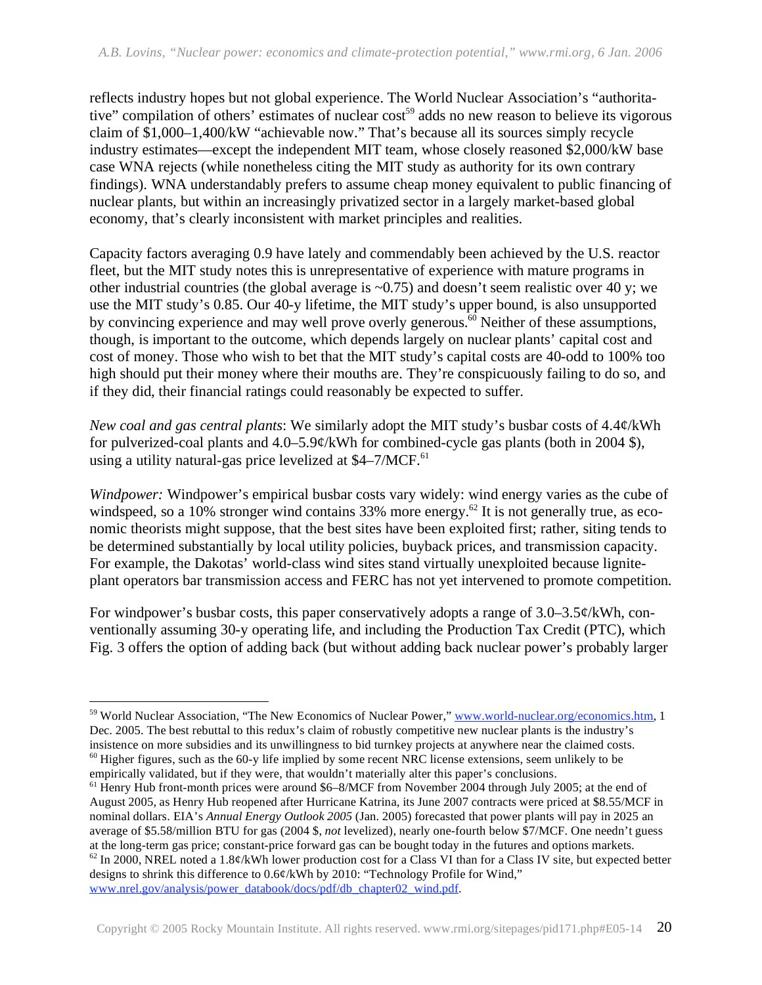reflects industry hopes but not global experience. The World Nuclear Association's "authoritative" compilation of others' estimates of nuclear cost<sup>59</sup> adds no new reason to believe its vigorous claim of \$1,000–1,400/kW "achievable now." That's because all its sources simply recycle industry estimates—except the independent MIT team, whose closely reasoned \$2,000/kW base case WNA rejects (while nonetheless citing the MIT study as authority for its own contrary findings). WNA understandably prefers to assume cheap money equivalent to public financing of nuclear plants, but within an increasingly privatized sector in a largely market-based global economy, that's clearly inconsistent with market principles and realities.

Capacity factors averaging 0.9 have lately and commendably been achieved by the U.S. reactor fleet, but the MIT study notes this is unrepresentative of experience with mature programs in other industrial countries (the global average is  $\sim 0.75$ ) and doesn't seem realistic over 40 y; we use the MIT study's 0.85. Our 40-y lifetime, the MIT study's upper bound, is also unsupported by convincing experience and may well prove overly generous.<sup>60</sup> Neither of these assumptions, though, is important to the outcome, which depends largely on nuclear plants' capital cost and cost of money. Those who wish to bet that the MIT study's capital costs are 40-odd to 100% too high should put their money where their mouths are. They're conspicuously failing to do so, and if they did, their financial ratings could reasonably be expected to suffer.

*New coal and gas central plants*: We similarly adopt the MIT study's busbar costs of 4.4¢/kWh for pulverized-coal plants and  $4.0-5.9\phi$ /kWh for combined-cycle gas plants (both in 2004 \$), using a utility natural-gas price levelized at  $$4-7/MCF.<sup>61</sup>$ 

*Windpower:* Windpower's empirical busbar costs vary widely: wind energy varies as the cube of windspeed, so a 10% stronger wind contains 33% more energy.<sup>62</sup> It is not generally true, as economic theorists might suppose, that the best sites have been exploited first; rather, siting tends to be determined substantially by local utility policies, buyback prices, and transmission capacity. For example, the Dakotas' world-class wind sites stand virtually unexploited because ligniteplant operators bar transmission access and FERC has not yet intervened to promote competition.

For windpower's busbar costs, this paper conservatively adopts a range of 3.0–3.5¢/kWh, conventionally assuming 30-y operating life, and including the Production Tax Credit (PTC), which Fig. 3 offers the option of adding back (but without adding back nuclear power's probably larger

 $\overline{a}$ 

<sup>&</sup>lt;sup>59</sup> World Nuclear Association, "The New Economics of Nuclear Power," www.world-nuclear.org/economics.htm, 1 Dec. 2005. The best rebuttal to this redux's claim of robustly competitive new nuclear plants is the industry's insistence on more subsidies and its unwillingness to bid turnkey projects at anywhere near the claimed costs.  $60$  Higher figures, such as the 60-y life implied by some recent NRC license extensions, seem unlikely to be empirically validated, but if they were, that wouldn't materially alter this paper's conclusions.

 $61$  Henry Hub front-month prices were around \$6–8/MCF from November 2004 through July 2005; at the end of August 2005, as Henry Hub reopened after Hurricane Katrina, its June 2007 contracts were priced at \$8.55/MCF in nominal dollars. EIA's *Annual Energy Outlook 2005* (Jan. 2005) forecasted that power plants will pay in 2025 an average of \$5.58/million BTU for gas (2004 \$, *not* levelized), nearly one-fourth below \$7/MCF. One needn't guess at the long-term gas price; constant-price forward gas can be bought today in the futures and options markets.  $62$  In 2000, NREL noted a 1.8¢/kWh lower production cost for a Class VI than for a Class IV site, but expected better designs to shrink this difference to 0.6¢/kWh by 2010: "Technology Profile for Wind," www.nrel.gov/analysis/power\_databook/docs/pdf/db\_chapter02\_wind.pdf.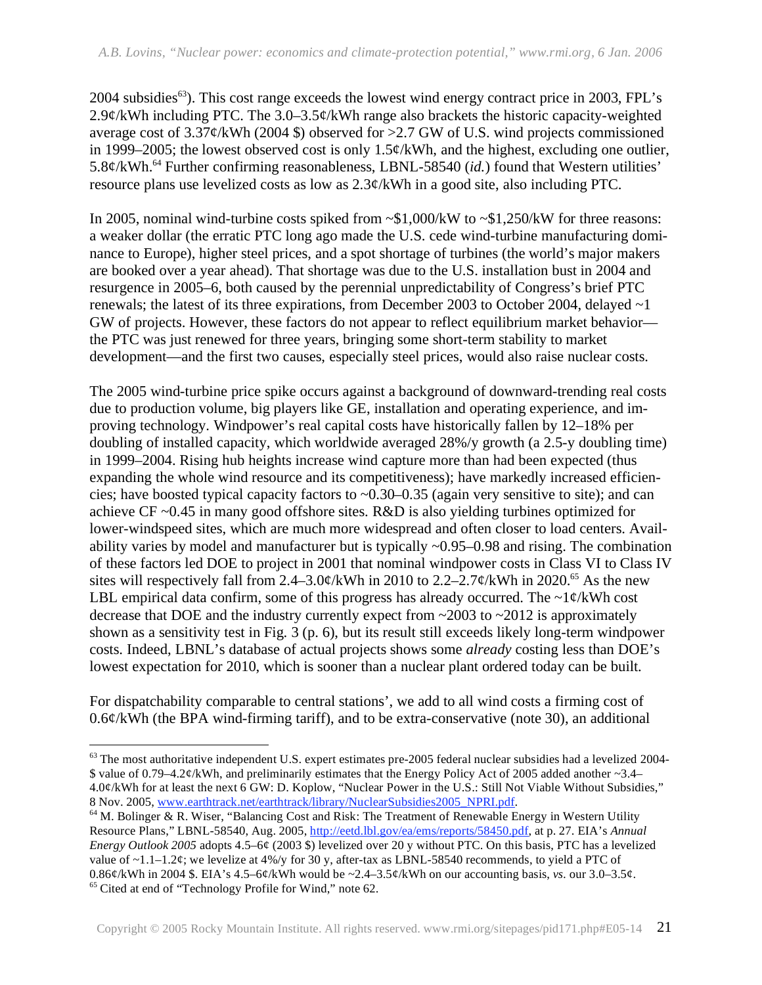2004 subsidies<sup>63</sup>). This cost range exceeds the lowest wind energy contract price in 2003, FPL's 2.9 $\phi$ /kWh including PTC. The 3.0–3.5 $\phi$ /kWh range also brackets the historic capacity-weighted average cost of  $3.37\phi$ /kWh (2004 \$) observed for >2.7 GW of U.S. wind projects commissioned in 1999–2005; the lowest observed cost is only  $1.5¢/kWh$ , and the highest, excluding one outlier, 5.8¢/kWh.64 Further confirming reasonableness, LBNL-58540 (*id.*) found that Western utilities' resource plans use levelized costs as low as 2.3¢/kWh in a good site, also including PTC.

In 2005, nominal wind-turbine costs spiked from ~\$1,000/kW to ~\$1,250/kW for three reasons: a weaker dollar (the erratic PTC long ago made the U.S. cede wind-turbine manufacturing dominance to Europe), higher steel prices, and a spot shortage of turbines (the world's major makers are booked over a year ahead). That shortage was due to the U.S. installation bust in 2004 and resurgence in 2005–6, both caused by the perennial unpredictability of Congress's brief PTC renewals; the latest of its three expirations, from December 2003 to October 2004, delayed ~1 GW of projects. However, these factors do not appear to reflect equilibrium market behavior the PTC was just renewed for three years, bringing some short-term stability to market development—and the first two causes, especially steel prices, would also raise nuclear costs.

The 2005 wind-turbine price spike occurs against a background of downward-trending real costs due to production volume, big players like GE, installation and operating experience, and improving technology. Windpower's real capital costs have historically fallen by 12–18% per doubling of installed capacity, which worldwide averaged 28%/y growth (a 2.5-y doubling time) in 1999–2004. Rising hub heights increase wind capture more than had been expected (thus expanding the whole wind resource and its competitiveness); have markedly increased efficiencies; have boosted typical capacity factors to  $\sim 0.30 - 0.35$  (again very sensitive to site); and can achieve CF ~0.45 in many good offshore sites. R&D is also yielding turbines optimized for lower-windspeed sites, which are much more widespread and often closer to load centers. Availability varies by model and manufacturer but is typically ~0.95–0.98 and rising. The combination of these factors led DOE to project in 2001 that nominal windpower costs in Class VI to Class IV sites will respectively fall from 2.4–3.0¢/kWh in 2010 to 2.2–2.7¢/kWh in 2020.<sup>65</sup> As the new LBL empirical data confirm, some of this progress has already occurred. The  $\sim$ 1¢/kWh cost decrease that DOE and the industry currently expect from ~2003 to ~2012 is approximately shown as a sensitivity test in Fig. 3 (p. 6), but its result still exceeds likely long-term windpower costs. Indeed, LBNL's database of actual projects shows some *already* costing less than DOE's lowest expectation for 2010, which is sooner than a nuclear plant ordered today can be built.

For dispatchability comparable to central stations', we add to all wind costs a firming cost of  $0.6$ ¢/kWh (the BPA wind-firming tariff), and to be extra-conservative (note 30), an additional

<u>.</u>

<sup>&</sup>lt;sup>63</sup> The most authoritative independent U.S. expert estimates pre-2005 federal nuclear subsidies had a levelized 2004-\$ value of 0.79–4.2¢/kWh, and preliminarily estimates that the Energy Policy Act of 2005 added another ~3.4– 4.0¢/kWh for at least the next 6 GW: D. Koplow, "Nuclear Power in the U.S.: Still Not Viable Without Subsidies,"<br>8 Nov. 2005, www.earthtrack.net/earthtrack/library/NuclearSubsidies2005 NPRI.pdf.

<sup>&</sup>lt;sup>64</sup> M. Bolinger & R. Wiser, "Balancing Cost and Risk: The Treatment of Renewable Energy in Western Utility Resource Plans," LBNL-58540, Aug. 2005, http://eetd.lbl.gov/ea/ems/reports/58450.pdf, at p. 27. EIA's *Annual Energy Outlook 2005* adopts 4.5–6¢ (2003 \$) levelized over 20 y without PTC. On this basis, PTC has a levelized value of ~1.1–1.2¢; we levelize at 4%/y for 30 y, after-tax as LBNL-58540 recommends, to yield a PTC of 0.86¢/kWh in 2004 \$. EIA's 4.5–6¢/kWh would be ~2.4–3.5¢/kWh on our accounting basis, *vs.* our 3.0–3.5¢. 65 Cited at end of "Technology Profile for Wind," note 62.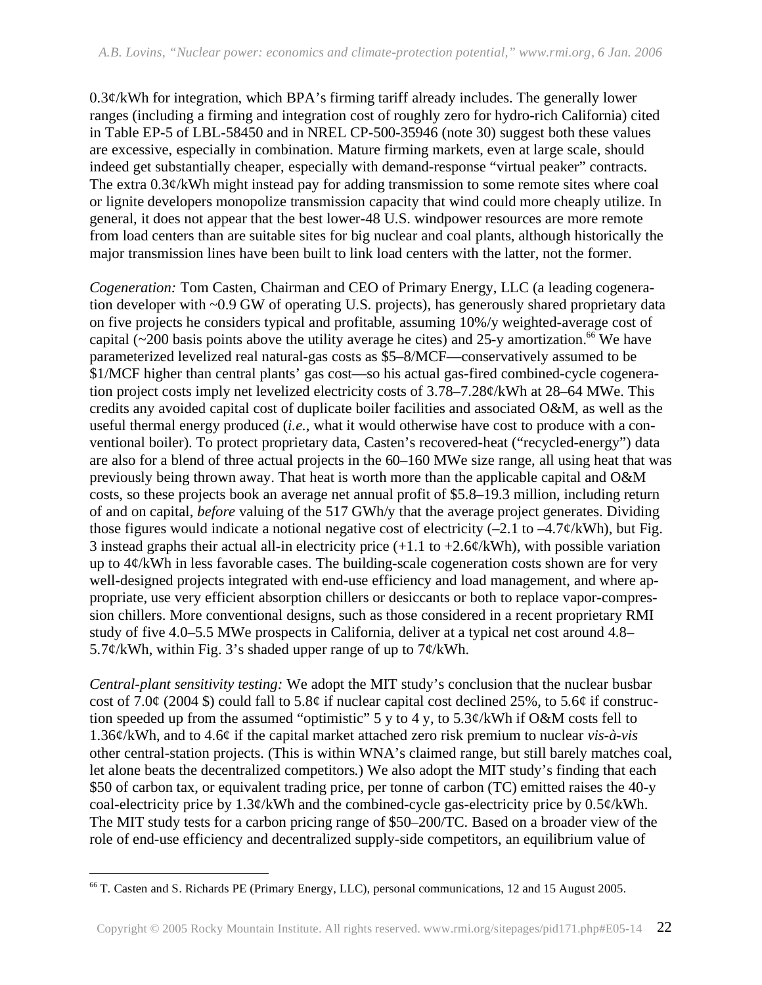$0.3¢$ /kWh for integration, which BPA's firming tariff already includes. The generally lower ranges (including a firming and integration cost of roughly zero for hydro-rich California) cited in Table EP-5 of LBL-58450 and in NREL CP-500-35946 (note 30) suggest both these values are excessive, especially in combination. Mature firming markets, even at large scale, should indeed get substantially cheaper, especially with demand-response "virtual peaker" contracts. The extra 0.3¢/kWh might instead pay for adding transmission to some remote sites where coal or lignite developers monopolize transmission capacity that wind could more cheaply utilize. In general, it does not appear that the best lower-48 U.S. windpower resources are more remote from load centers than are suitable sites for big nuclear and coal plants, although historically the major transmission lines have been built to link load centers with the latter, not the former.

*Cogeneration:* Tom Casten, Chairman and CEO of Primary Energy, LLC (a leading cogeneration developer with ~0.9 GW of operating U.S. projects), has generously shared proprietary data on five projects he considers typical and profitable, assuming 10%/y weighted-average cost of capital (~200 basis points above the utility average he cites) and 25-y amortization.<sup>66</sup> We have parameterized levelized real natural-gas costs as \$5–8/MCF—conservatively assumed to be \$1/MCF higher than central plants' gas cost—so his actual gas-fired combined-cycle cogeneration project costs imply net levelized electricity costs of 3.78–7.28¢/kWh at 28–64 MWe. This credits any avoided capital cost of duplicate boiler facilities and associated O&M, as well as the useful thermal energy produced (*i.e.*, what it would otherwise have cost to produce with a conventional boiler). To protect proprietary data, Casten's recovered-heat ("recycled-energy") data are also for a blend of three actual projects in the 60–160 MWe size range, all using heat that was previously being thrown away. That heat is worth more than the applicable capital and O&M costs, so these projects book an average net annual profit of \$5.8–19.3 million, including return of and on capital, *before* valuing of the 517 GWh/y that the average project generates. Dividing those figures would indicate a notional negative cost of electricity  $(-2.1 \text{ to } -4.7\frac{\cancel{e}}{kWh})$ , but Fig. 3 instead graphs their actual all-in electricity price  $(+1.1 \text{ to } +2.6\frac{\cancel{e}}{kWh})$ , with possible variation up to 4¢/kWh in less favorable cases. The building-scale cogeneration costs shown are for very well-designed projects integrated with end-use efficiency and load management, and where appropriate, use very efficient absorption chillers or desiccants or both to replace vapor-compression chillers. More conventional designs, such as those considered in a recent proprietary RMI study of five 4.0–5.5 MWe prospects in California, deliver at a typical net cost around 4.8– 5.7¢/kWh, within Fig. 3's shaded upper range of up to  $7¢$ /kWh.

*Central-plant sensitivity testing:* We adopt the MIT study's conclusion that the nuclear busbar cost of 7.0 $\varphi$  (2004 \$) could fall to 5.8 $\varphi$  if nuclear capital cost declined 25%, to 5.6 $\varphi$  if construction speeded up from the assumed "optimistic" 5 y to 4 y, to 5.3¢/kWh if O&M costs fell to 1.36¢/kWh, and to 4.6¢ if the capital market attached zero risk premium to nuclear *vis-à-vis*  other central-station projects. (This is within WNA's claimed range, but still barely matches coal, let alone beats the decentralized competitors.) We also adopt the MIT study's finding that each \$50 of carbon tax, or equivalent trading price, per tonne of carbon (TC) emitted raises the 40-y coal-electricity price by 1.3¢/kWh and the combined-cycle gas-electricity price by 0.5¢/kWh. The MIT study tests for a carbon pricing range of \$50–200/TC. Based on a broader view of the role of end-use efficiency and decentralized supply-side competitors, an equilibrium value of

<sup>&</sup>lt;u>.</u> 66 T. Casten and S. Richards PE (Primary Energy, LLC), personal communications, 12 and 15 August 2005.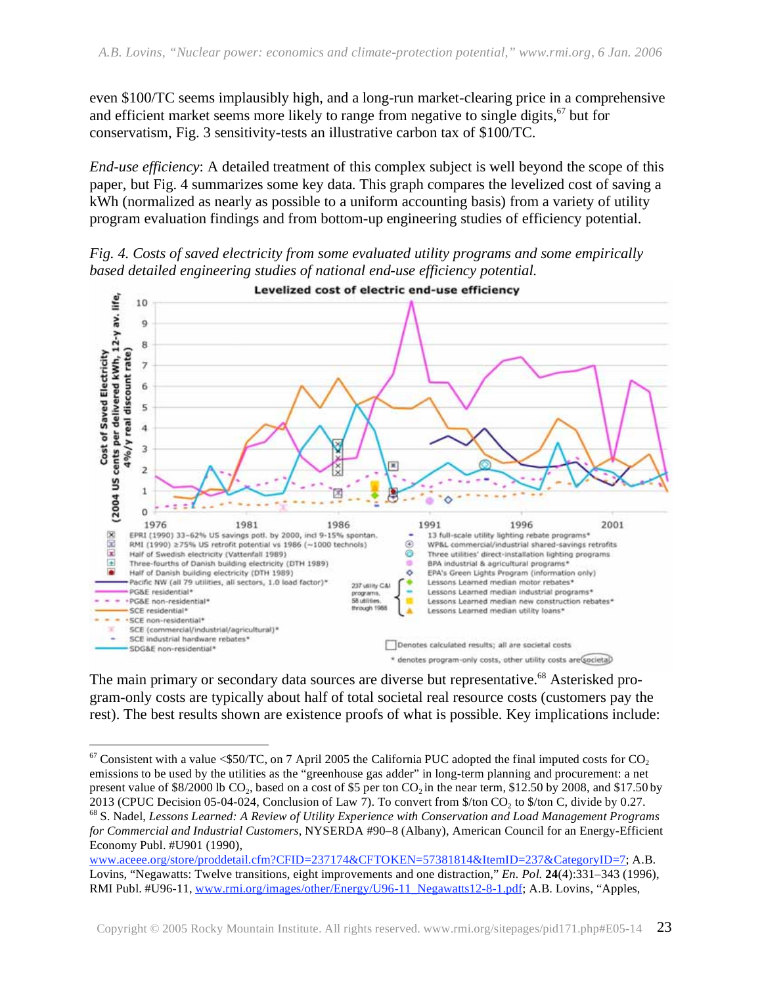even \$100/TC seems implausibly high, and a long-run market-clearing price in a comprehensive and efficient market seems more likely to range from negative to single digits,<sup>67</sup> but for conservatism, Fig. 3 sensitivity-tests an illustrative carbon tax of \$100/TC.

*End-use efficiency*: A detailed treatment of this complex subject is well beyond the scope of this paper, but Fig. 4 summarizes some key data. This graph compares the levelized cost of saving a kWh (normalized as nearly as possible to a uniform accounting basis) from a variety of utility program evaluation findings and from bottom-up engineering studies of efficiency potential.

*Fig. 4. Costs of saved electricity from some evaluated utility programs and some empirically based detailed engineering studies of national end-use efficiency potential.* 



The main primary or secondary data sources are diverse but representative.<sup>68</sup> Asterisked program-only costs are typically about half of total societal real resource costs (customers pay the rest). The best results shown are existence proofs of what is possible. Key implications include:

 $\overline{a}$ 

 $67$  Consistent with a value <\$50/TC, on 7 April 2005 the California PUC adopted the final imputed costs for CO<sub>2</sub> emissions to be used by the utilities as the "greenhouse gas adder" in long-term planning and procurement: a net present value of \$8/2000 lb  $CO_2$ , based on a cost of \$5 per ton  $CO_2$  in the near term, \$12.50 by 2008, and \$17.50 by 2013 (CPUC Decision 05-04-024, Conclusion of Law 7). To convert from \$/ton  $CO_2$  to \$/ton C, divide by <sup>68</sup> S. Nadel, Lessons Learned: A Review of Utility Experience with Conservation and Load Management Programs *for Commercial and Industrial Customers*, NYSERDA #90–8 (Albany), American Council for an Energy-Efficient Economy Publ. #U901 (1990),

www.aceee.org/store/proddetail.cfm?CFID=237174&CFTOKEN=57381814&ItemID=237&CategoryID=7; A.B. Lovins, "Negawatts: Twelve transitions, eight improvements and one distraction," *En. Pol.* **24**(4):331–343 (1996), RMI Publ. #U96-11, www.rmi.org/images/other/Energy/U96-11\_Negawatts12-8-1.pdf; A.B. Lovins, "Apples,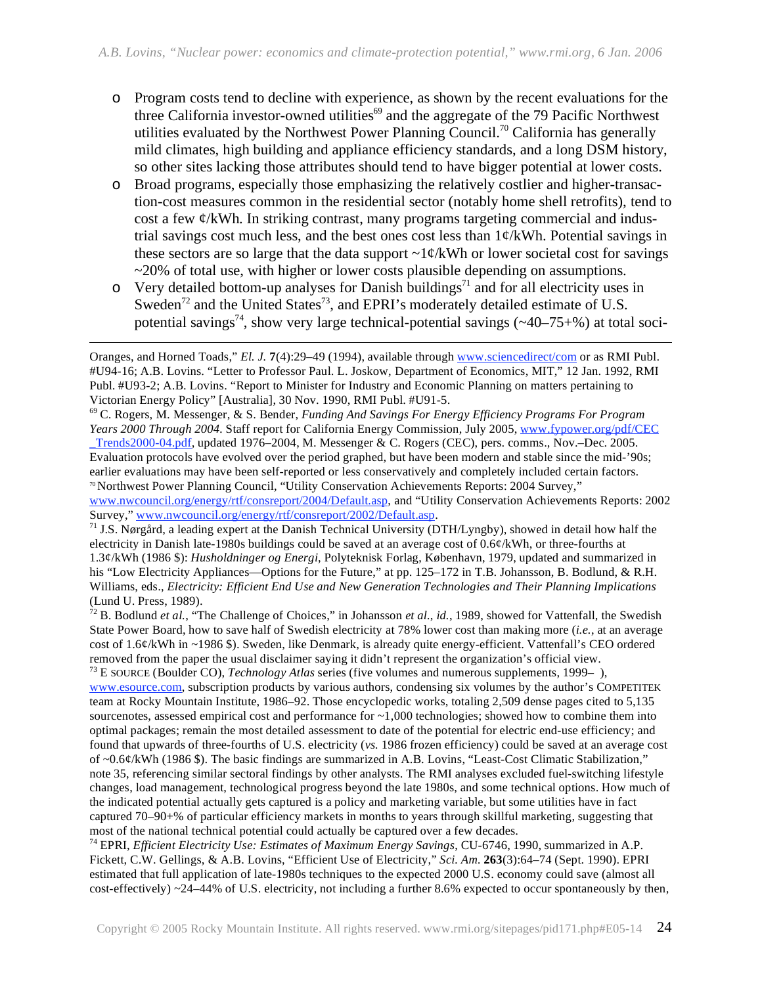- o Program costs tend to decline with experience, as shown by the recent evaluations for the three California investor-owned utilities<sup>69</sup> and the aggregate of the 79 Pacific Northwest utilities evaluated by the Northwest Power Planning Council.<sup>70</sup> California has generally mild climates, high building and appliance efficiency standards, and a long DSM history, so other sites lacking those attributes should tend to have bigger potential at lower costs.
- o Broad programs, especially those emphasizing the relatively costlier and higher-transaction-cost measures common in the residential sector (notably home shell retrofits), tend to cost a few ¢/kWh. In striking contrast, many programs targeting commercial and industrial savings cost much less, and the best ones cost less than 1¢/kWh. Potential savings in these sectors are so large that the data support  $\sim 1 \frac{\epsilon}{kWh}$  or lower societal cost for savings ~20% of total use, with higher or lower costs plausible depending on assumptions.
- $\overline{C}$  Very detailed bottom-up analyses for Danish buildings<sup>71</sup> and for all electricity uses in Sweden<sup>72</sup> and the United States<sup>73</sup>, and EPRI's moderately detailed estimate of U.S. potential savings<sup>74</sup>, show very large technical-potential savings ( $\sim$ 40–75+%) at total soci-

 $\overline{a}$ 

69 C. Rogers, M. Messenger, & S. Bender, *Funding And Savings For Energy Efficiency Programs For Program Years 2000 Through 2004.* Staff report for California Energy Commission, July 2005, www.fypower.org/pdf/CEC \_Trends2000-04.pdf, updated 1976–2004, M. Messenger & C. Rogers (CEC), pers. comms., Nov.–Dec. 2005. Evaluation protocols have evolved over the period graphed, but have been modern and stable since the mid-'90s; earlier evaluations may have been self-reported or less conservatively and completely included certain factors. 70 Northwest Power Planning Council, "Utility Conservation Achievements Reports: 2004 Survey," www.nwcouncil.org/energy/rtf/consreport/2004/Default.asp, and "Utility Conservation Achievements Reports: 2002<br>Survey," www.nwcouncil.org/energy/rtf/consreport/2002/Default.asp.

<sup>71</sup> J.S. Nørgård, a leading expert at the Danish Technical University (DTH/Lyngby), showed in detail how half the electricity in Danish late-1980s buildings could be saved at an average cost of 0.6¢/kWh, or three-fourths at 1.3¢/kWh (1986 \$): *Husholdninger og Energi*, Polyteknisk Forlag, København, 1979, updated and summarized in his "Low Electricity Appliances—Options for the Future," at pp. 125–172 in T.B. Johansson, B. Bodlund, & R.H. Williams, eds., *Electricity: Efficient End Use and New Generation Technologies and Their Planning Implications* (Lund U. Press, 1989).

72 B. Bodlund *et al.*, "The Challenge of Choices," in Johansson *et al.*, *id.*, 1989, showed for Vattenfall, the Swedish State Power Board, how to save half of Swedish electricity at 78% lower cost than making more (*i.e.*, at an average cost of 1.6¢/kWh in ~1986 \$). Sweden, like Denmark, is already quite energy-efficient. Vattenfall's CEO ordered removed from the paper the usual disclaimer saying it didn't represent the organization's official view.

73 E SOURCE (Boulder CO), *Technology Atlas* series (five volumes and numerous supplements, 1999– ), www.esource.com, subscription products by various authors, condensing six volumes by the author's COMPETITEK team at Rocky Mountain Institute, 1986–92. Those encyclopedic works, totaling 2,509 dense pages cited to 5,135 sourcenotes, assessed empirical cost and performance for  $\sim 1,000$  technologies; showed how to combine them into optimal packages; remain the most detailed assessment to date of the potential for electric end-use efficiency; and found that upwards of three-fourths of U.S. electricity (*vs.* 1986 frozen efficiency) could be saved at an average cost of ~0.6¢/kWh (1986 \$). The basic findings are summarized in A.B. Lovins, "Least-Cost Climatic Stabilization," note 35, referencing similar sectoral findings by other analysts. The RMI analyses excluded fuel-switching lifestyle changes, load management, technological progress beyond the late 1980s, and some technical options. How much of the indicated potential actually gets captured is a policy and marketing variable, but some utilities have in fact captured 70–90+% of particular efficiency markets in months to years through skillful marketing, suggesting that most of the national technical potential could actually be captured over a few decades.

74 EPRI, *Efficient Electricity Use: Estimates of Maximum Energy Savings*, CU-6746, 1990, summarized in A.P. Fickett, C.W. Gellings, & A.B. Lovins, "Efficient Use of Electricity," *Sci. Am.* **263**(3):64–74 (Sept. 1990). EPRI estimated that full application of late-1980s techniques to the expected 2000 U.S. economy could save (almost all cost-effectively) ~24–44% of U.S. electricity, not including a further 8.6% expected to occur spontaneously by then,

Oranges, and Horned Toads," *El. J.* **7**(4):29–49 (1994), available through www.sciencedirect/com or as RMI Publ. #U94-16; A.B. Lovins. "Letter to Professor Paul. L. Joskow, Department of Economics, MIT," 12 Jan. 1992, RMI Publ. #U93-2; A.B. Lovins. "Report to Minister for Industry and Economic Planning on matters pertaining to Victorian Energy Policy" [Australia], 30 Nov. 1990, RMI Publ. #U91-5.